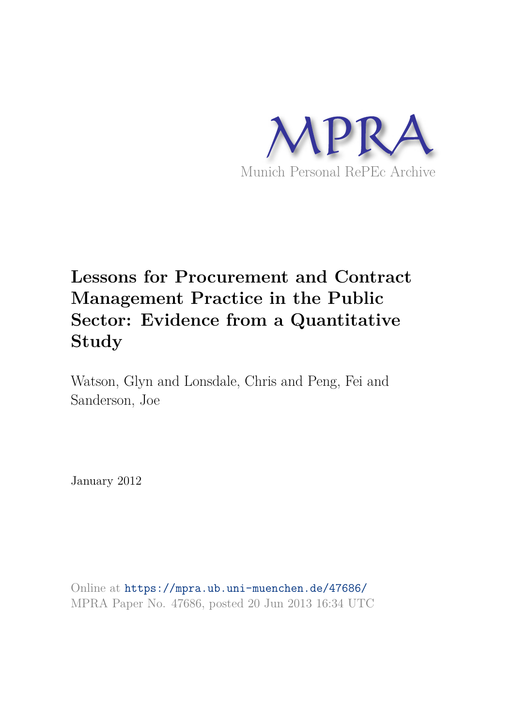

# **Lessons for Procurement and Contract Management Practice in the Public Sector: Evidence from a Quantitative Study**

Watson, Glyn and Lonsdale, Chris and Peng, Fei and Sanderson, Joe

January 2012

Online at https://mpra.ub.uni-muenchen.de/47686/ MPRA Paper No. 47686, posted 20 Jun 2013 16:34 UTC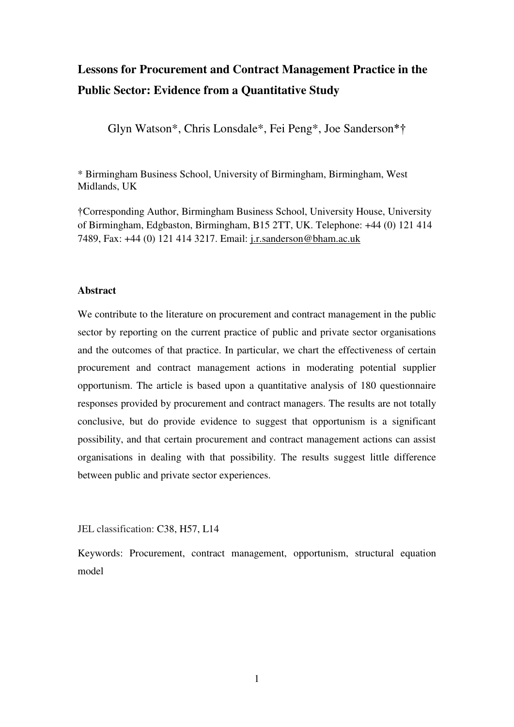# **Lessons for Procurement and Contract Management Practice in the Public Sector: Evidence from a Quantitative Study**

Glyn Watson\*, Chris Lonsdale\*, Fei Peng\*, Joe Sanderson\*†

\* Birmingham Business School, University of Birmingham, Birmingham, West Midlands, UK

†Corresponding Author, Birmingham Business School, University House, University of Birmingham, Edgbaston, Birmingham, B15 2TT, UK. Telephone: +44 (0) 121 414 7489, Fax: +44 (0) 121 414 3217. Email: [j.r.sanderson@bham.ac.uk](mailto:j.r.sanderson@bham.ac.uk) 

#### **Abstract**

We contribute to the literature on procurement and contract management in the public sector by reporting on the current practice of public and private sector organisations and the outcomes of that practice. In particular, we chart the effectiveness of certain procurement and contract management actions in moderating potential supplier opportunism. The article is based upon a quantitative analysis of 180 questionnaire responses provided by procurement and contract managers. The results are not totally conclusive, but do provide evidence to suggest that opportunism is a significant possibility, and that certain procurement and contract management actions can assist organisations in dealing with that possibility. The results suggest little difference between public and private sector experiences.

JEL classification: C38, H57, L14

Keywords: Procurement, contract management, opportunism, structural equation model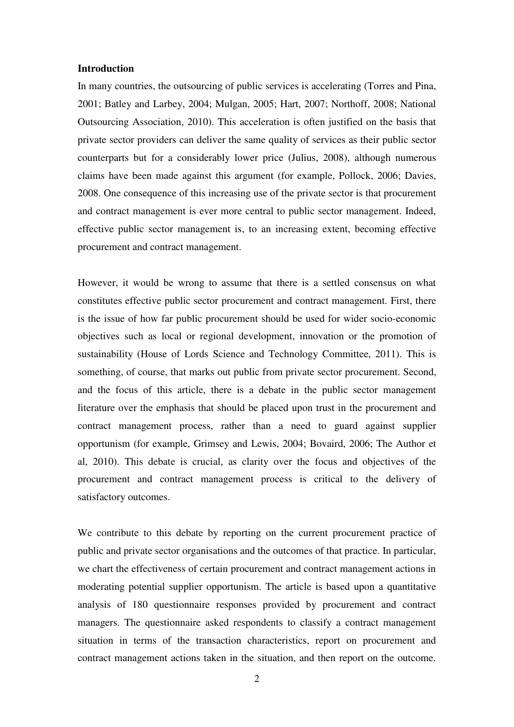#### **Introduction**

In many countries, the outsourcing of public services is accelerating (Torres and Pina, 2001; Batley and Larbey, 2004; Mulgan, 2005; Hart, 2007; Northoff, 2008; National Outsourcing Association, 2010). This acceleration is often justified on the basis that private sector providers can deliver the same quality of services as their public sector counterparts but for a considerably lower price (Julius, 2008), although numerous claims have been made against this argument (for example, Pollock, 2006; Davies, 2008. One consequence of this increasing use of the private sector is that procurement and contract management is ever more central to public sector management. Indeed, effective public sector management is, to an increasing extent, becoming effective procurement and contract management.

However, it would be wrong to assume that there is a settled consensus on what constitutes effective public sector procurement and contract management. First, there is the issue of how far public procurement should be used for wider socio-economic objectives such as local or regional development, innovation or the promotion of sustainability (House of Lords Science and Technology Committee, 2011). This is something, of course, that marks out public from private sector procurement. Second, and the focus of this article, there is a debate in the public sector management literature over the emphasis that should be placed upon trust in the procurement and contract management process, rather than a need to guard against supplier opportunism (for example, Grimsey and Lewis, 2004; Bovaird, 2006; The Author et al, 2010). This debate is crucial, as clarity over the focus and objectives of the procurement and contract management process is critical to the delivery of satisfactory outcomes.

We contribute to this debate by reporting on the current procurement practice of public and private sector organisations and the outcomes of that practice. In particular, we chart the effectiveness of certain procurement and contract management actions in moderating potential supplier opportunism. The article is based upon a quantitative analysis of 180 questionnaire responses provided by procurement and contract managers. The questionnaire asked respondents to classify a contract management situation in terms of the transaction characteristics, report on procurement and contract management actions taken in the situation, and then report on the outcome.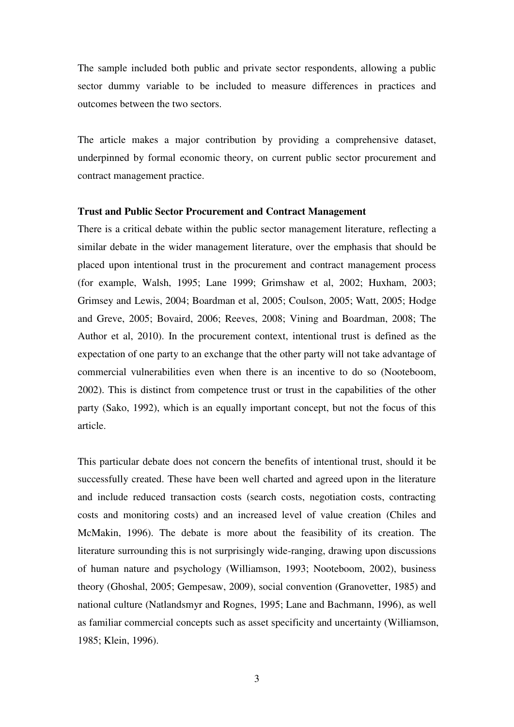The sample included both public and private sector respondents, allowing a public sector dummy variable to be included to measure differences in practices and outcomes between the two sectors.

The article makes a major contribution by providing a comprehensive dataset, underpinned by formal economic theory, on current public sector procurement and contract management practice.

#### **Trust and Public Sector Procurement and Contract Management**

There is a critical debate within the public sector management literature, reflecting a similar debate in the wider management literature, over the emphasis that should be placed upon intentional trust in the procurement and contract management process (for example, Walsh, 1995; Lane 1999; Grimshaw et al, 2002; Huxham, 2003; Grimsey and Lewis, 2004; Boardman et al, 2005; Coulson, 2005; Watt, 2005; Hodge and Greve, 2005; Bovaird, 2006; Reeves, 2008; Vining and Boardman, 2008; The Author et al, 2010). In the procurement context, intentional trust is defined as the expectation of one party to an exchange that the other party will not take advantage of commercial vulnerabilities even when there is an incentive to do so (Nooteboom, 2002). This is distinct from competence trust or trust in the capabilities of the other party (Sako, 1992), which is an equally important concept, but not the focus of this article.

This particular debate does not concern the benefits of intentional trust, should it be successfully created. These have been well charted and agreed upon in the literature and include reduced transaction costs (search costs, negotiation costs, contracting costs and monitoring costs) and an increased level of value creation (Chiles and McMakin, 1996). The debate is more about the feasibility of its creation. The literature surrounding this is not surprisingly wide-ranging, drawing upon discussions of human nature and psychology (Williamson, 1993; Nooteboom, 2002), business theory (Ghoshal, 2005; Gempesaw, 2009), social convention (Granovetter, 1985) and national culture (Natlandsmyr and Rognes, 1995; Lane and Bachmann, 1996), as well as familiar commercial concepts such as asset specificity and uncertainty (Williamson, 1985; Klein, 1996).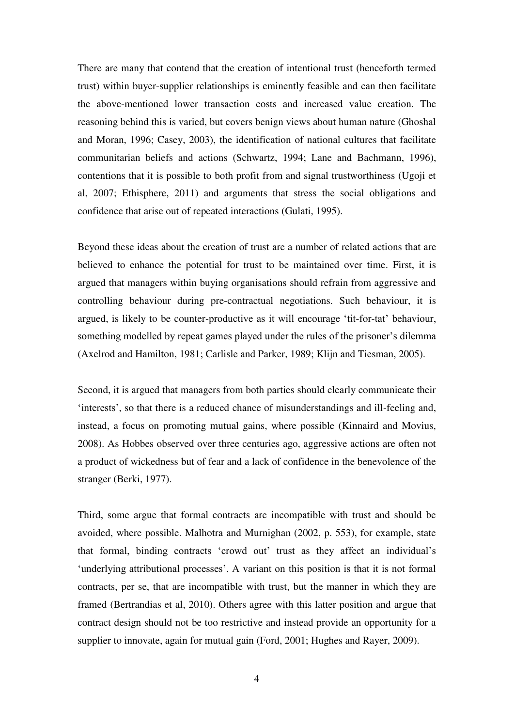There are many that contend that the creation of intentional trust (henceforth termed trust) within buyer-supplier relationships is eminently feasible and can then facilitate the above-mentioned lower transaction costs and increased value creation. The reasoning behind this is varied, but covers benign views about human nature (Ghoshal and Moran, 1996; Casey, 2003), the identification of national cultures that facilitate communitarian beliefs and actions (Schwartz, 1994; Lane and Bachmann, 1996), contentions that it is possible to both profit from and signal trustworthiness (Ugoji et al, 2007; Ethisphere, 2011) and arguments that stress the social obligations and confidence that arise out of repeated interactions (Gulati, 1995).

Beyond these ideas about the creation of trust are a number of related actions that are believed to enhance the potential for trust to be maintained over time. First, it is argued that managers within buying organisations should refrain from aggressive and controlling behaviour during pre-contractual negotiations. Such behaviour, it is argued, is likely to be counter-productive as it will encourage 'tit-for-tat' behaviour, something modelled by repeat games played under the rules of the prisoner's dilemma (Axelrod and Hamilton, 1981; Carlisle and Parker, 1989; Klijn and Tiesman, 2005).

Second, it is argued that managers from both parties should clearly communicate their 'interests', so that there is a reduced chance of misunderstandings and ill-feeling and, instead, a focus on promoting mutual gains, where possible (Kinnaird and Movius, 2008). As Hobbes observed over three centuries ago, aggressive actions are often not a product of wickedness but of fear and a lack of confidence in the benevolence of the stranger (Berki, 1977).

Third, some argue that formal contracts are incompatible with trust and should be avoided, where possible. Malhotra and Murnighan (2002, p. 553), for example, state that formal, binding contracts 'crowd out' trust as they affect an individual's 'underlying attributional processes'. A variant on this position is that it is not formal contracts, per se, that are incompatible with trust, but the manner in which they are framed (Bertrandias et al, 2010). Others agree with this latter position and argue that contract design should not be too restrictive and instead provide an opportunity for a supplier to innovate, again for mutual gain (Ford, 2001; Hughes and Rayer, 2009).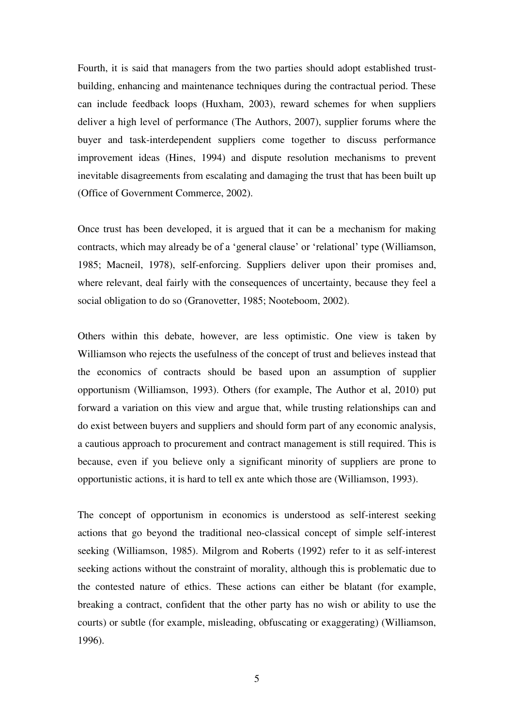Fourth, it is said that managers from the two parties should adopt established trustbuilding, enhancing and maintenance techniques during the contractual period. These can include feedback loops (Huxham, 2003), reward schemes for when suppliers deliver a high level of performance (The Authors, 2007), supplier forums where the buyer and task-interdependent suppliers come together to discuss performance improvement ideas (Hines, 1994) and dispute resolution mechanisms to prevent inevitable disagreements from escalating and damaging the trust that has been built up (Office of Government Commerce, 2002).

Once trust has been developed, it is argued that it can be a mechanism for making contracts, which may already be of a 'general clause' or 'relational' type (Williamson, 1985; Macneil, 1978), self-enforcing. Suppliers deliver upon their promises and, where relevant, deal fairly with the consequences of uncertainty, because they feel a social obligation to do so (Granovetter, 1985; Nooteboom, 2002).

Others within this debate, however, are less optimistic. One view is taken by Williamson who rejects the usefulness of the concept of trust and believes instead that the economics of contracts should be based upon an assumption of supplier opportunism (Williamson, 1993). Others (for example, The Author et al, 2010) put forward a variation on this view and argue that, while trusting relationships can and do exist between buyers and suppliers and should form part of any economic analysis, a cautious approach to procurement and contract management is still required. This is because, even if you believe only a significant minority of suppliers are prone to opportunistic actions, it is hard to tell ex ante which those are (Williamson, 1993).

The concept of opportunism in economics is understood as self-interest seeking actions that go beyond the traditional neo-classical concept of simple self-interest seeking (Williamson, 1985). Milgrom and Roberts (1992) refer to it as self-interest seeking actions without the constraint of morality, although this is problematic due to the contested nature of ethics. These actions can either be blatant (for example, breaking a contract, confident that the other party has no wish or ability to use the courts) or subtle (for example, misleading, obfuscating or exaggerating) (Williamson, 1996).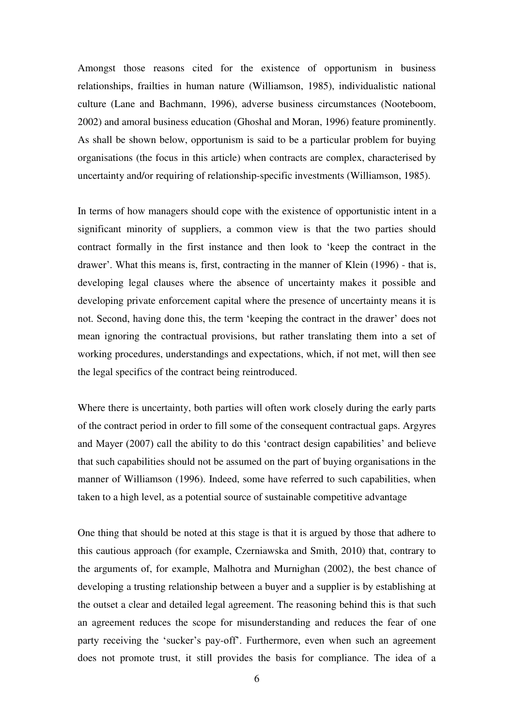Amongst those reasons cited for the existence of opportunism in business relationships, frailties in human nature (Williamson, 1985), individualistic national culture (Lane and Bachmann, 1996), adverse business circumstances (Nooteboom, 2002) and amoral business education (Ghoshal and Moran, 1996) feature prominently. As shall be shown below, opportunism is said to be a particular problem for buying organisations (the focus in this article) when contracts are complex, characterised by uncertainty and/or requiring of relationship-specific investments (Williamson, 1985).

In terms of how managers should cope with the existence of opportunistic intent in a significant minority of suppliers, a common view is that the two parties should contract formally in the first instance and then look to 'keep the contract in the drawer'. What this means is, first, contracting in the manner of Klein (1996) - that is, developing legal clauses where the absence of uncertainty makes it possible and developing private enforcement capital where the presence of uncertainty means it is not. Second, having done this, the term 'keeping the contract in the drawer' does not mean ignoring the contractual provisions, but rather translating them into a set of working procedures, understandings and expectations, which, if not met, will then see the legal specifics of the contract being reintroduced.

Where there is uncertainty, both parties will often work closely during the early parts of the contract period in order to fill some of the consequent contractual gaps. Argyres and Mayer (2007) call the ability to do this 'contract design capabilities' and believe that such capabilities should not be assumed on the part of buying organisations in the manner of Williamson (1996). Indeed, some have referred to such capabilities, when taken to a high level, as a potential source of sustainable competitive advantage

One thing that should be noted at this stage is that it is argued by those that adhere to this cautious approach (for example, Czerniawska and Smith, 2010) that, contrary to the arguments of, for example, Malhotra and Murnighan (2002), the best chance of developing a trusting relationship between a buyer and a supplier is by establishing at the outset a clear and detailed legal agreement. The reasoning behind this is that such an agreement reduces the scope for misunderstanding and reduces the fear of one party receiving the 'sucker's pay-off'. Furthermore, even when such an agreement does not promote trust, it still provides the basis for compliance. The idea of a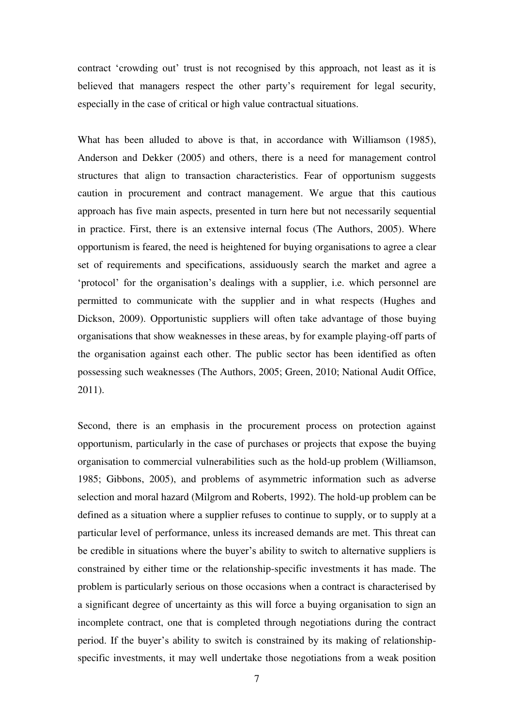contract 'crowding out' trust is not recognised by this approach, not least as it is believed that managers respect the other party's requirement for legal security, especially in the case of critical or high value contractual situations.

What has been alluded to above is that, in accordance with Williamson (1985), Anderson and Dekker (2005) and others, there is a need for management control structures that align to transaction characteristics. Fear of opportunism suggests caution in procurement and contract management. We argue that this cautious approach has five main aspects, presented in turn here but not necessarily sequential in practice. First, there is an extensive internal focus (The Authors, 2005). Where opportunism is feared, the need is heightened for buying organisations to agree a clear set of requirements and specifications, assiduously search the market and agree a 'protocol' for the organisation's dealings with a supplier, i.e. which personnel are permitted to communicate with the supplier and in what respects (Hughes and Dickson, 2009). Opportunistic suppliers will often take advantage of those buying organisations that show weaknesses in these areas, by for example playing-off parts of the organisation against each other. The public sector has been identified as often possessing such weaknesses (The Authors, 2005; Green, 2010; National Audit Office, 2011).

Second, there is an emphasis in the procurement process on protection against opportunism, particularly in the case of purchases or projects that expose the buying organisation to commercial vulnerabilities such as the hold-up problem (Williamson, 1985; Gibbons, 2005), and problems of asymmetric information such as adverse selection and moral hazard (Milgrom and Roberts, 1992). The hold-up problem can be defined as a situation where a supplier refuses to continue to supply, or to supply at a particular level of performance, unless its increased demands are met. This threat can be credible in situations where the buyer's ability to switch to alternative suppliers is constrained by either time or the relationship-specific investments it has made. The problem is particularly serious on those occasions when a contract is characterised by a significant degree of uncertainty as this will force a buying organisation to sign an incomplete contract, one that is completed through negotiations during the contract period. If the buyer's ability to switch is constrained by its making of relationshipspecific investments, it may well undertake those negotiations from a weak position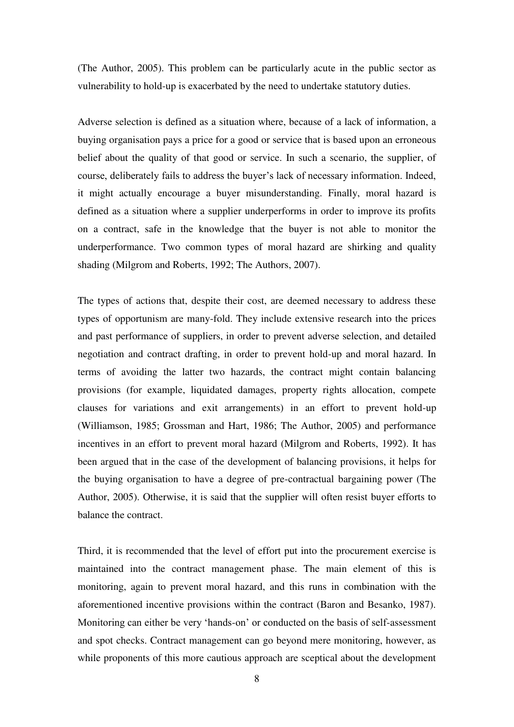(The Author, 2005). This problem can be particularly acute in the public sector as vulnerability to hold-up is exacerbated by the need to undertake statutory duties.

Adverse selection is defined as a situation where, because of a lack of information, a buying organisation pays a price for a good or service that is based upon an erroneous belief about the quality of that good or service. In such a scenario, the supplier, of course, deliberately fails to address the buyer's lack of necessary information. Indeed, it might actually encourage a buyer misunderstanding. Finally, moral hazard is defined as a situation where a supplier underperforms in order to improve its profits on a contract, safe in the knowledge that the buyer is not able to monitor the underperformance. Two common types of moral hazard are shirking and quality shading (Milgrom and Roberts, 1992; The Authors, 2007).

The types of actions that, despite their cost, are deemed necessary to address these types of opportunism are many-fold. They include extensive research into the prices and past performance of suppliers, in order to prevent adverse selection, and detailed negotiation and contract drafting, in order to prevent hold-up and moral hazard. In terms of avoiding the latter two hazards, the contract might contain balancing provisions (for example, liquidated damages, property rights allocation, compete clauses for variations and exit arrangements) in an effort to prevent hold-up (Williamson, 1985; Grossman and Hart, 1986; The Author, 2005) and performance incentives in an effort to prevent moral hazard (Milgrom and Roberts, 1992). It has been argued that in the case of the development of balancing provisions, it helps for the buying organisation to have a degree of pre-contractual bargaining power (The Author, 2005). Otherwise, it is said that the supplier will often resist buyer efforts to balance the contract.

Third, it is recommended that the level of effort put into the procurement exercise is maintained into the contract management phase. The main element of this is monitoring, again to prevent moral hazard, and this runs in combination with the aforementioned incentive provisions within the contract (Baron and Besanko, 1987). Monitoring can either be very 'hands-on' or conducted on the basis of self-assessment and spot checks. Contract management can go beyond mere monitoring, however, as while proponents of this more cautious approach are sceptical about the development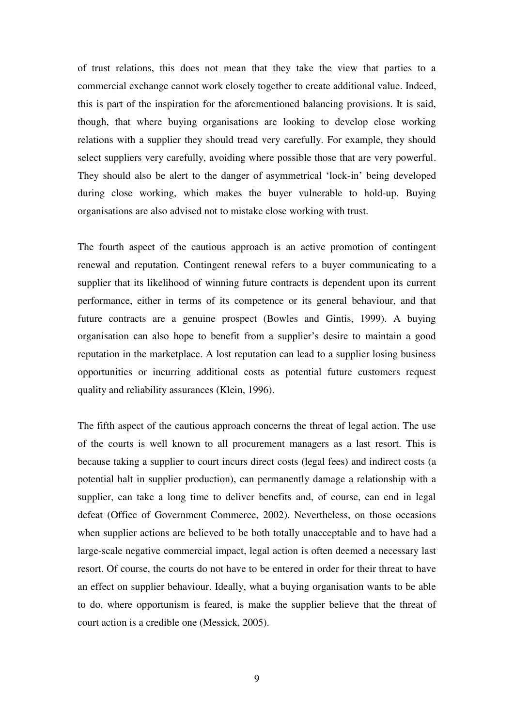of trust relations, this does not mean that they take the view that parties to a commercial exchange cannot work closely together to create additional value. Indeed, this is part of the inspiration for the aforementioned balancing provisions. It is said, though, that where buying organisations are looking to develop close working relations with a supplier they should tread very carefully. For example, they should select suppliers very carefully, avoiding where possible those that are very powerful. They should also be alert to the danger of asymmetrical 'lock-in' being developed during close working, which makes the buyer vulnerable to hold-up. Buying organisations are also advised not to mistake close working with trust.

The fourth aspect of the cautious approach is an active promotion of contingent renewal and reputation. Contingent renewal refers to a buyer communicating to a supplier that its likelihood of winning future contracts is dependent upon its current performance, either in terms of its competence or its general behaviour, and that future contracts are a genuine prospect (Bowles and Gintis, 1999). A buying organisation can also hope to benefit from a supplier's desire to maintain a good reputation in the marketplace. A lost reputation can lead to a supplier losing business opportunities or incurring additional costs as potential future customers request quality and reliability assurances (Klein, 1996).

The fifth aspect of the cautious approach concerns the threat of legal action. The use of the courts is well known to all procurement managers as a last resort. This is because taking a supplier to court incurs direct costs (legal fees) and indirect costs (a potential halt in supplier production), can permanently damage a relationship with a supplier, can take a long time to deliver benefits and, of course, can end in legal defeat (Office of Government Commerce, 2002). Nevertheless, on those occasions when supplier actions are believed to be both totally unacceptable and to have had a large-scale negative commercial impact, legal action is often deemed a necessary last resort. Of course, the courts do not have to be entered in order for their threat to have an effect on supplier behaviour. Ideally, what a buying organisation wants to be able to do, where opportunism is feared, is make the supplier believe that the threat of court action is a credible one (Messick, 2005).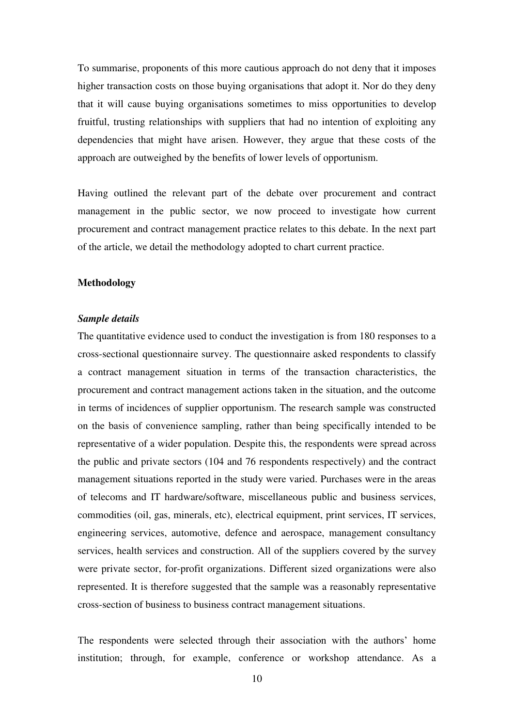To summarise, proponents of this more cautious approach do not deny that it imposes higher transaction costs on those buying organisations that adopt it. Nor do they deny that it will cause buying organisations sometimes to miss opportunities to develop fruitful, trusting relationships with suppliers that had no intention of exploiting any dependencies that might have arisen. However, they argue that these costs of the approach are outweighed by the benefits of lower levels of opportunism.

Having outlined the relevant part of the debate over procurement and contract management in the public sector, we now proceed to investigate how current procurement and contract management practice relates to this debate. In the next part of the article, we detail the methodology adopted to chart current practice.

#### **Methodology**

#### *Sample details*

The quantitative evidence used to conduct the investigation is from 180 responses to a cross-sectional questionnaire survey. The questionnaire asked respondents to classify a contract management situation in terms of the transaction characteristics, the procurement and contract management actions taken in the situation, and the outcome in terms of incidences of supplier opportunism. The research sample was constructed on the basis of convenience sampling, rather than being specifically intended to be representative of a wider population. Despite this, the respondents were spread across the public and private sectors (104 and 76 respondents respectively) and the contract management situations reported in the study were varied. Purchases were in the areas of telecoms and IT hardware/software, miscellaneous public and business services, commodities (oil, gas, minerals, etc), electrical equipment, print services, IT services, engineering services, automotive, defence and aerospace, management consultancy services, health services and construction. All of the suppliers covered by the survey were private sector, for-profit organizations. Different sized organizations were also represented. It is therefore suggested that the sample was a reasonably representative cross-section of business to business contract management situations.

The respondents were selected through their association with the authors' home institution; through, for example, conference or workshop attendance. As a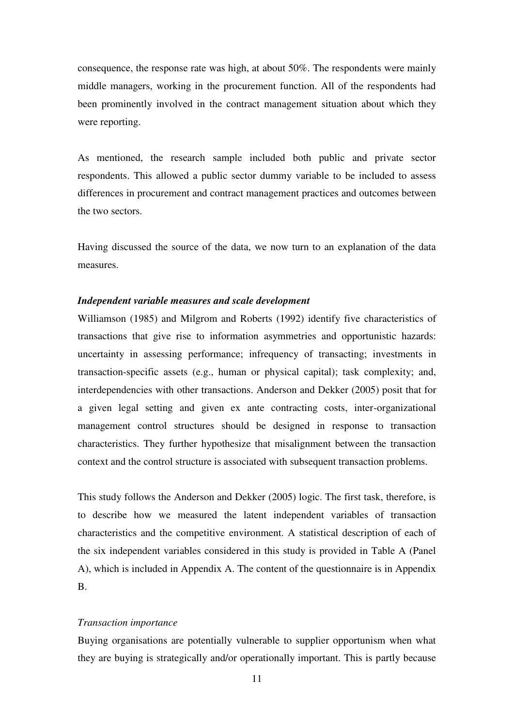consequence, the response rate was high, at about 50%. The respondents were mainly middle managers, working in the procurement function. All of the respondents had been prominently involved in the contract management situation about which they were reporting.

As mentioned, the research sample included both public and private sector respondents. This allowed a public sector dummy variable to be included to assess differences in procurement and contract management practices and outcomes between the two sectors.

Having discussed the source of the data, we now turn to an explanation of the data measures.

#### *Independent variable measures and scale development*

Williamson (1985) and Milgrom and Roberts (1992) identify five characteristics of transactions that give rise to information asymmetries and opportunistic hazards: uncertainty in assessing performance; infrequency of transacting; investments in transaction-specific assets (e.g., human or physical capital); task complexity; and, interdependencies with other transactions. Anderson and Dekker (2005) posit that for a given legal setting and given ex ante contracting costs, inter-organizational management control structures should be designed in response to transaction characteristics. They further hypothesize that misalignment between the transaction context and the control structure is associated with subsequent transaction problems.

This study follows the Anderson and Dekker (2005) logic. The first task, therefore, is to describe how we measured the latent independent variables of transaction characteristics and the competitive environment. A statistical description of each of the six independent variables considered in this study is provided in Table A (Panel A), which is included in Appendix A. The content of the questionnaire is in Appendix B.

#### *Transaction importance*

Buying organisations are potentially vulnerable to supplier opportunism when what they are buying is strategically and/or operationally important. This is partly because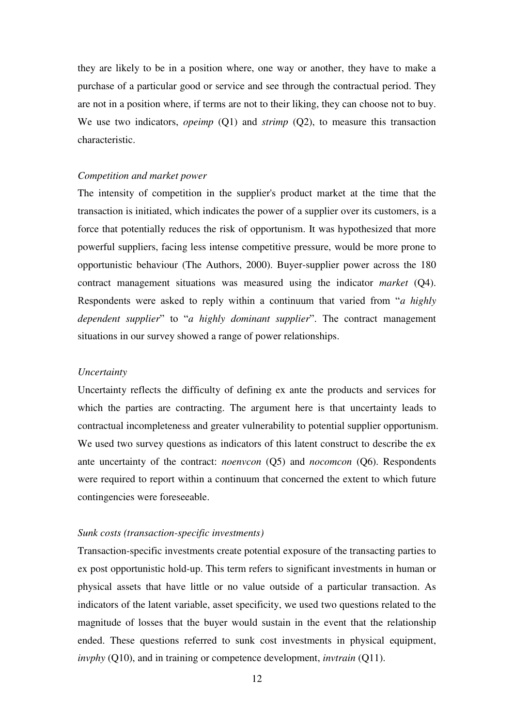they are likely to be in a position where, one way or another, they have to make a purchase of a particular good or service and see through the contractual period. They are not in a position where, if terms are not to their liking, they can choose not to buy. We use two indicators, *opeimp* (Q1) and *strimp* (Q2), to measure this transaction characteristic.

#### *Competition and market power*

The intensity of competition in the supplier's product market at the time that the transaction is initiated, which indicates the power of a supplier over its customers, is a force that potentially reduces the risk of opportunism. It was hypothesized that more powerful suppliers, facing less intense competitive pressure, would be more prone to opportunistic behaviour (The Authors, 2000). Buyer-supplier power across the 180 contract management situations was measured using the indicator *market* (Q4). Respondents were asked to reply within a continuum that varied from "*a highly dependent supplier*" to "*a highly dominant supplier*". The contract management situations in our survey showed a range of power relationships.

#### *Uncertainty*

Uncertainty reflects the difficulty of defining ex ante the products and services for which the parties are contracting. The argument here is that uncertainty leads to contractual incompleteness and greater vulnerability to potential supplier opportunism. We used two survey questions as indicators of this latent construct to describe the ex ante uncertainty of the contract: *noenvcon* (Q5) and *nocomcon* (Q6). Respondents were required to report within a continuum that concerned the extent to which future contingencies were foreseeable.

#### *Sunk costs (transaction-specific investments)*

Transaction-specific investments create potential exposure of the transacting parties to ex post opportunistic hold-up. This term refers to significant investments in human or physical assets that have little or no value outside of a particular transaction. As indicators of the latent variable, asset specificity, we used two questions related to the magnitude of losses that the buyer would sustain in the event that the relationship ended. These questions referred to sunk cost investments in physical equipment, *invphy* (Q10), and in training or competence development, *invtrain* (Q11).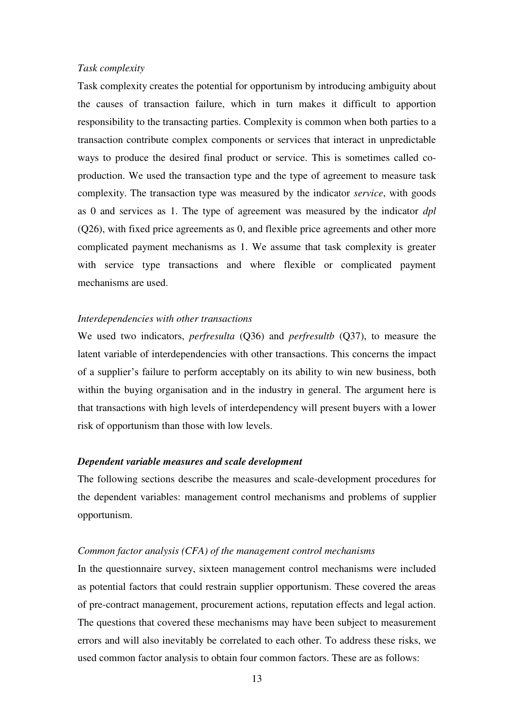#### *Task complexity*

Task complexity creates the potential for opportunism by introducing ambiguity about the causes of transaction failure, which in turn makes it difficult to apportion responsibility to the transacting parties. Complexity is common when both parties to a transaction contribute complex components or services that interact in unpredictable ways to produce the desired final product or service. This is sometimes called coproduction. We used the transaction type and the type of agreement to measure task complexity. The transaction type was measured by the indicator *service*, with goods as 0 and services as 1. The type of agreement was measured by the indicator *dpl*  (Q26), with fixed price agreements as 0, and flexible price agreements and other more complicated payment mechanisms as 1. We assume that task complexity is greater with service type transactions and where flexible or complicated payment mechanisms are used.

#### *Interdependencies with other transactions*

We used two indicators, *perfresulta* (Q36) and *perfresultb* (Q37), to measure the latent variable of interdependencies with other transactions. This concerns the impact of a supplier's failure to perform acceptably on its ability to win new business, both within the buying organisation and in the industry in general. The argument here is that transactions with high levels of interdependency will present buyers with a lower risk of opportunism than those with low levels.

#### *Dependent variable measures and scale development*

The following sections describe the measures and scale-development procedures for the dependent variables: management control mechanisms and problems of supplier opportunism.

#### *Common factor analysis (CFA) of the management control mechanisms*

In the questionnaire survey, sixteen management control mechanisms were included as potential factors that could restrain supplier opportunism. These covered the areas of pre-contract management, procurement actions, reputation effects and legal action. The questions that covered these mechanisms may have been subject to measurement errors and will also inevitably be correlated to each other. To address these risks, we used common factor analysis to obtain four common factors. These are as follows: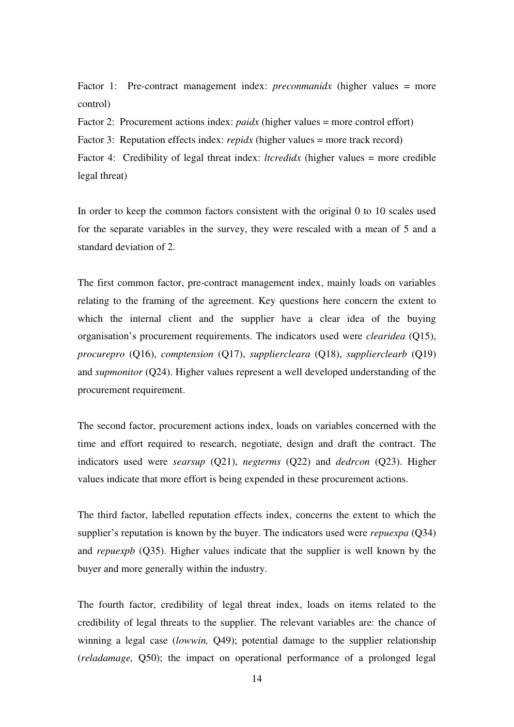Factor 1: Pre-contract management index: *preconmanidx* (higher values = more control)

Factor 2: Procurement actions index: *paidx* (higher values = more control effort)

Factor 3: Reputation effects index: *repidx* (higher values = more track record)

Factor 4: Credibility of legal threat index: *ltcredidx* (higher values = more credible legal threat)

In order to keep the common factors consistent with the original 0 to 10 scales used for the separate variables in the survey, they were rescaled with a mean of 5 and a standard deviation of 2.

The first common factor, pre-contract management index, mainly loads on variables relating to the framing of the agreement. Key questions here concern the extent to which the internal client and the supplier have a clear idea of the buying organisation's procurement requirements. The indicators used were *clearidea* (Q15), *procurepro* (Q16), *comptension* (Q17), *suppliercleara* (Q18), *supplierclearb* (Q19) and *supmonitor* (Q24). Higher values represent a well developed understanding of the procurement requirement.

The second factor, procurement actions index, loads on variables concerned with the time and effort required to research, negotiate, design and draft the contract. The indicators used were *searsup* (Q21), *negterms* (Q22) and *dedrcon* (Q23). Higher values indicate that more effort is being expended in these procurement actions.

The third factor, labelled reputation effects index, concerns the extent to which the supplier's reputation is known by the buyer. The indicators used were *repuexpa* (Q34) and *repuexpb* (Q35). Higher values indicate that the supplier is well known by the buyer and more generally within the industry.

The fourth factor, credibility of legal threat index, loads on items related to the credibility of legal threats to the supplier. The relevant variables are: the chance of winning a legal case (*lowwin,* Q49); potential damage to the supplier relationship (*reladamage,* Q50); the impact on operational performance of a prolonged legal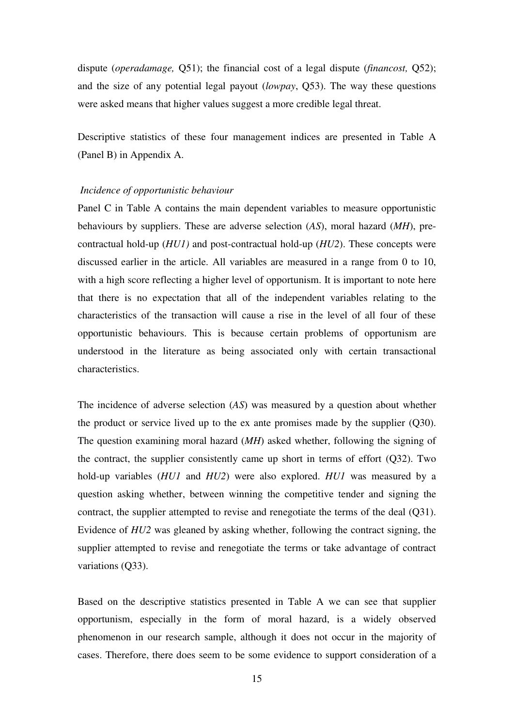dispute (*operadamage,* Q51); the financial cost of a legal dispute (*financost,* Q52); and the size of any potential legal payout (*lowpay*, Q53). The way these questions were asked means that higher values suggest a more credible legal threat.

Descriptive statistics of these four management indices are presented in Table A (Panel B) in Appendix A.

#### *Incidence of opportunistic behaviour*

Panel C in Table A contains the main dependent variables to measure opportunistic behaviours by suppliers. These are adverse selection (*AS*), moral hazard (*MH*), precontractual hold-up (*HU1)* and post-contractual hold-up (*HU2*). These concepts were discussed earlier in the article. All variables are measured in a range from 0 to 10, with a high score reflecting a higher level of opportunism. It is important to note here that there is no expectation that all of the independent variables relating to the characteristics of the transaction will cause a rise in the level of all four of these opportunistic behaviours. This is because certain problems of opportunism are understood in the literature as being associated only with certain transactional characteristics.

The incidence of adverse selection (*AS*) was measured by a question about whether the product or service lived up to the ex ante promises made by the supplier (Q30). The question examining moral hazard (*MH*) asked whether, following the signing of the contract, the supplier consistently came up short in terms of effort (Q32). Two hold-up variables (*HU1* and *HU2*) were also explored. *HU1* was measured by a question asking whether, between winning the competitive tender and signing the contract, the supplier attempted to revise and renegotiate the terms of the deal (Q31). Evidence of *HU2* was gleaned by asking whether, following the contract signing, the supplier attempted to revise and renegotiate the terms or take advantage of contract variations (Q33).

Based on the descriptive statistics presented in Table A we can see that supplier opportunism, especially in the form of moral hazard, is a widely observed phenomenon in our research sample, although it does not occur in the majority of cases. Therefore, there does seem to be some evidence to support consideration of a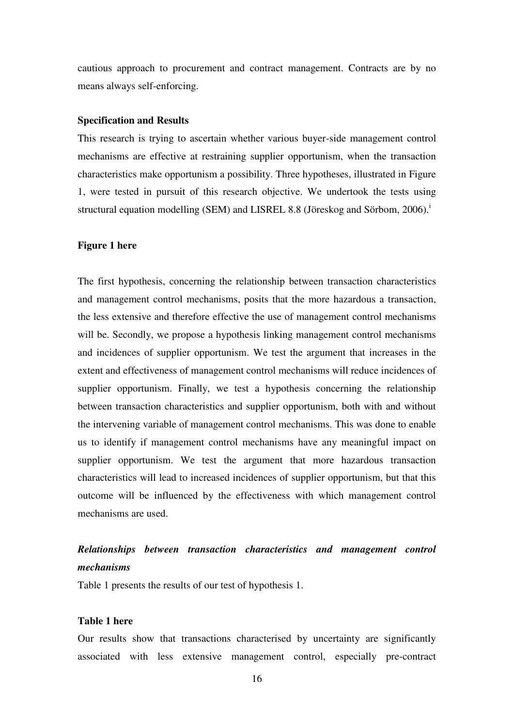cautious approach to procurement and contract management. Contracts are by no means always self-enforcing.

#### **Specification and Results**

This research is trying to ascertain whether various buyer-side management control mechanisms are effective at restraining supplier opportunism, when the transaction characteristics make opportunism a possibility. Three hypotheses, illustrated in Figure 1, were tested in pursuit of this research objective. We undertook the tests using structural equation modelling (SEM) and LISREL 8.8 (Jöreskog and Sörbom,  $2006$ ).<sup>1</sup>

#### **Figure 1 here**

The first hypothesis, concerning the relationship between transaction characteristics and management control mechanisms, posits that the more hazardous a transaction, the less extensive and therefore effective the use of management control mechanisms will be. Secondly, we propose a hypothesis linking management control mechanisms and incidences of supplier opportunism. We test the argument that increases in the extent and effectiveness of management control mechanisms will reduce incidences of supplier opportunism. Finally, we test a hypothesis concerning the relationship between transaction characteristics and supplier opportunism, both with and without the intervening variable of management control mechanisms. This was done to enable us to identify if management control mechanisms have any meaningful impact on supplier opportunism. We test the argument that more hazardous transaction characteristics will lead to increased incidences of supplier opportunism, but that this outcome will be influenced by the effectiveness with which management control mechanisms are used.

## *Relationships between transaction characteristics and management control mechanisms*

Table 1 presents the results of our test of hypothesis 1.

#### **Table 1 here**

Our results show that transactions characterised by uncertainty are significantly associated with less extensive management control, especially pre-contract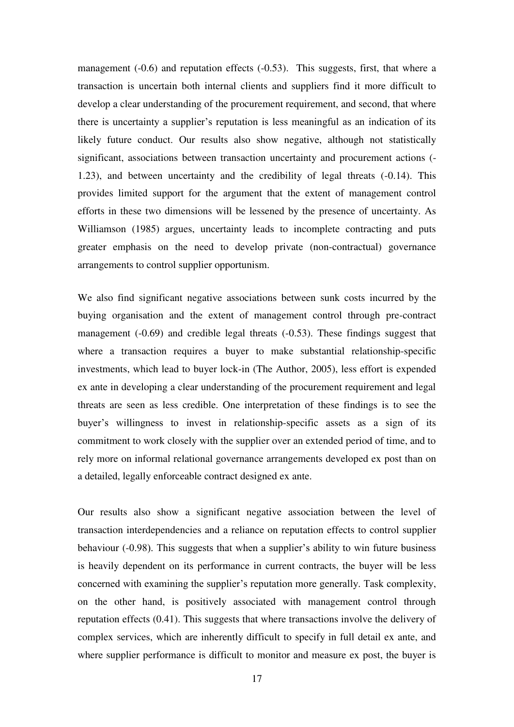management (-0.6) and reputation effects (-0.53). This suggests, first, that where a transaction is uncertain both internal clients and suppliers find it more difficult to develop a clear understanding of the procurement requirement, and second, that where there is uncertainty a supplier's reputation is less meaningful as an indication of its likely future conduct. Our results also show negative, although not statistically significant, associations between transaction uncertainty and procurement actions (- 1.23), and between uncertainty and the credibility of legal threats (-0.14). This provides limited support for the argument that the extent of management control efforts in these two dimensions will be lessened by the presence of uncertainty. As Williamson (1985) argues, uncertainty leads to incomplete contracting and puts greater emphasis on the need to develop private (non-contractual) governance arrangements to control supplier opportunism.

We also find significant negative associations between sunk costs incurred by the buying organisation and the extent of management control through pre-contract management (-0.69) and credible legal threats (-0.53). These findings suggest that where a transaction requires a buyer to make substantial relationship-specific investments, which lead to buyer lock-in (The Author, 2005), less effort is expended ex ante in developing a clear understanding of the procurement requirement and legal threats are seen as less credible. One interpretation of these findings is to see the buyer's willingness to invest in relationship-specific assets as a sign of its commitment to work closely with the supplier over an extended period of time, and to rely more on informal relational governance arrangements developed ex post than on a detailed, legally enforceable contract designed ex ante.

Our results also show a significant negative association between the level of transaction interdependencies and a reliance on reputation effects to control supplier behaviour (-0.98). This suggests that when a supplier's ability to win future business is heavily dependent on its performance in current contracts, the buyer will be less concerned with examining the supplier's reputation more generally. Task complexity, on the other hand, is positively associated with management control through reputation effects (0.41). This suggests that where transactions involve the delivery of complex services, which are inherently difficult to specify in full detail ex ante, and where supplier performance is difficult to monitor and measure ex post, the buyer is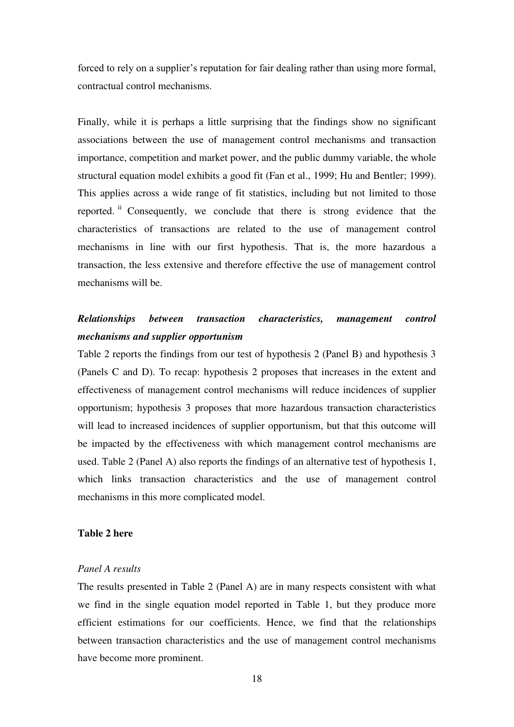forced to rely on a supplier's reputation for fair dealing rather than using more formal, contractual control mechanisms.

Finally, while it is perhaps a little surprising that the findings show no significant associations between the use of management control mechanisms and transaction importance, competition and market power, and the public dummy variable, the whole structural equation model exhibits a good fit (Fan et al., 1999; Hu and Bentler; 1999). This applies across a wide range of fit statistics, including but not limited to those reported. ii Consequently, we conclude that there is strong evidence that the characteristics of transactions are related to the use of management control mechanisms in line with our first hypothesis. That is, the more hazardous a transaction, the less extensive and therefore effective the use of management control mechanisms will be.

### *Relationships between transaction characteristics, management control mechanisms and supplier opportunism*

Table 2 reports the findings from our test of hypothesis 2 (Panel B) and hypothesis 3 (Panels C and D). To recap: hypothesis 2 proposes that increases in the extent and effectiveness of management control mechanisms will reduce incidences of supplier opportunism; hypothesis 3 proposes that more hazardous transaction characteristics will lead to increased incidences of supplier opportunism, but that this outcome will be impacted by the effectiveness with which management control mechanisms are used. Table 2 (Panel A) also reports the findings of an alternative test of hypothesis 1, which links transaction characteristics and the use of management control mechanisms in this more complicated model.

#### **Table 2 here**

#### *Panel A results*

The results presented in Table 2 (Panel A) are in many respects consistent with what we find in the single equation model reported in Table 1, but they produce more efficient estimations for our coefficients. Hence, we find that the relationships between transaction characteristics and the use of management control mechanisms have become more prominent.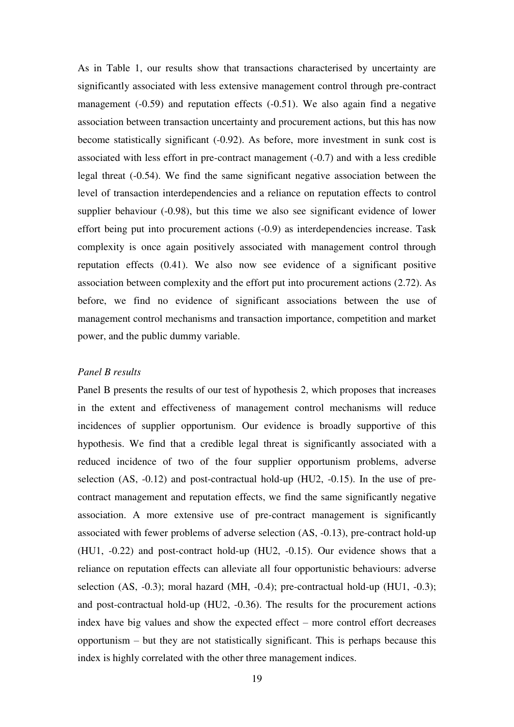As in Table 1, our results show that transactions characterised by uncertainty are significantly associated with less extensive management control through pre-contract management (-0.59) and reputation effects (-0.51). We also again find a negative association between transaction uncertainty and procurement actions, but this has now become statistically significant (-0.92). As before, more investment in sunk cost is associated with less effort in pre-contract management (-0.7) and with a less credible legal threat (-0.54). We find the same significant negative association between the level of transaction interdependencies and a reliance on reputation effects to control supplier behaviour (-0.98), but this time we also see significant evidence of lower effort being put into procurement actions (-0.9) as interdependencies increase. Task complexity is once again positively associated with management control through reputation effects (0.41). We also now see evidence of a significant positive association between complexity and the effort put into procurement actions (2.72). As before, we find no evidence of significant associations between the use of management control mechanisms and transaction importance, competition and market power, and the public dummy variable.

#### *Panel B results*

Panel B presents the results of our test of hypothesis 2, which proposes that increases in the extent and effectiveness of management control mechanisms will reduce incidences of supplier opportunism. Our evidence is broadly supportive of this hypothesis. We find that a credible legal threat is significantly associated with a reduced incidence of two of the four supplier opportunism problems, adverse selection (AS, -0.12) and post-contractual hold-up (HU2, -0.15). In the use of precontract management and reputation effects, we find the same significantly negative association. A more extensive use of pre-contract management is significantly associated with fewer problems of adverse selection (AS, -0.13), pre-contract hold-up (HU1, -0.22) and post-contract hold-up (HU2, -0.15). Our evidence shows that a reliance on reputation effects can alleviate all four opportunistic behaviours: adverse selection (AS, -0.3); moral hazard (MH, -0.4); pre-contractual hold-up (HU1, -0.3); and post-contractual hold-up (HU2, -0.36). The results for the procurement actions index have big values and show the expected effect – more control effort decreases opportunism – but they are not statistically significant. This is perhaps because this index is highly correlated with the other three management indices.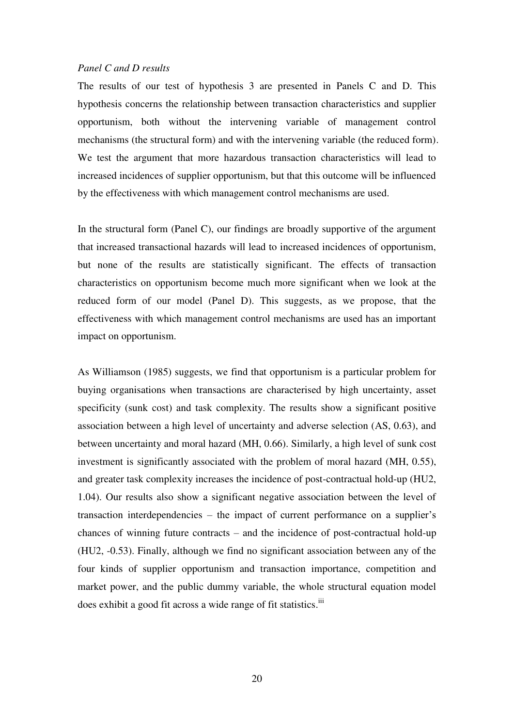#### *Panel C and D results*

The results of our test of hypothesis 3 are presented in Panels C and D. This hypothesis concerns the relationship between transaction characteristics and supplier opportunism, both without the intervening variable of management control mechanisms (the structural form) and with the intervening variable (the reduced form). We test the argument that more hazardous transaction characteristics will lead to increased incidences of supplier opportunism, but that this outcome will be influenced by the effectiveness with which management control mechanisms are used.

In the structural form (Panel C), our findings are broadly supportive of the argument that increased transactional hazards will lead to increased incidences of opportunism, but none of the results are statistically significant. The effects of transaction characteristics on opportunism become much more significant when we look at the reduced form of our model (Panel D). This suggests, as we propose, that the effectiveness with which management control mechanisms are used has an important impact on opportunism.

As Williamson (1985) suggests, we find that opportunism is a particular problem for buying organisations when transactions are characterised by high uncertainty, asset specificity (sunk cost) and task complexity. The results show a significant positive association between a high level of uncertainty and adverse selection (AS, 0.63), and between uncertainty and moral hazard (MH, 0.66). Similarly, a high level of sunk cost investment is significantly associated with the problem of moral hazard (MH, 0.55), and greater task complexity increases the incidence of post-contractual hold-up (HU2, 1.04). Our results also show a significant negative association between the level of transaction interdependencies – the impact of current performance on a supplier's chances of winning future contracts – and the incidence of post-contractual hold-up (HU2, -0.53). Finally, although we find no significant association between any of the four kinds of supplier opportunism and transaction importance, competition and market power, and the public dummy variable, the whole structural equation model does exhibit a good fit across a wide range of fit statistics.<sup>iii</sup>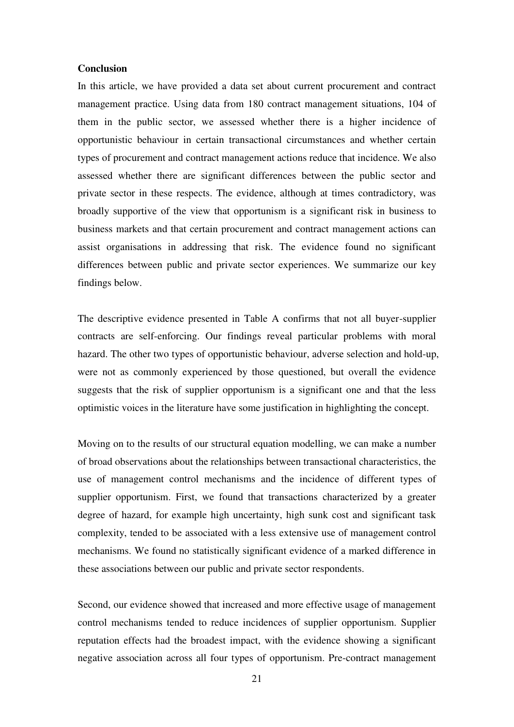#### **Conclusion**

In this article, we have provided a data set about current procurement and contract management practice. Using data from 180 contract management situations, 104 of them in the public sector, we assessed whether there is a higher incidence of opportunistic behaviour in certain transactional circumstances and whether certain types of procurement and contract management actions reduce that incidence. We also assessed whether there are significant differences between the public sector and private sector in these respects. The evidence, although at times contradictory, was broadly supportive of the view that opportunism is a significant risk in business to business markets and that certain procurement and contract management actions can assist organisations in addressing that risk. The evidence found no significant differences between public and private sector experiences. We summarize our key findings below.

The descriptive evidence presented in Table A confirms that not all buyer-supplier contracts are self-enforcing. Our findings reveal particular problems with moral hazard. The other two types of opportunistic behaviour, adverse selection and hold-up, were not as commonly experienced by those questioned, but overall the evidence suggests that the risk of supplier opportunism is a significant one and that the less optimistic voices in the literature have some justification in highlighting the concept.

Moving on to the results of our structural equation modelling, we can make a number of broad observations about the relationships between transactional characteristics, the use of management control mechanisms and the incidence of different types of supplier opportunism. First, we found that transactions characterized by a greater degree of hazard, for example high uncertainty, high sunk cost and significant task complexity, tended to be associated with a less extensive use of management control mechanisms. We found no statistically significant evidence of a marked difference in these associations between our public and private sector respondents.

Second, our evidence showed that increased and more effective usage of management control mechanisms tended to reduce incidences of supplier opportunism. Supplier reputation effects had the broadest impact, with the evidence showing a significant negative association across all four types of opportunism. Pre-contract management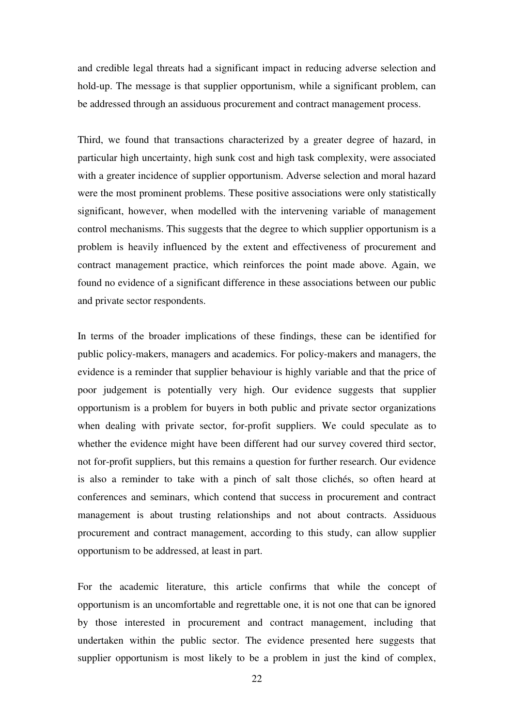and credible legal threats had a significant impact in reducing adverse selection and hold-up. The message is that supplier opportunism, while a significant problem, can be addressed through an assiduous procurement and contract management process.

Third, we found that transactions characterized by a greater degree of hazard, in particular high uncertainty, high sunk cost and high task complexity, were associated with a greater incidence of supplier opportunism. Adverse selection and moral hazard were the most prominent problems. These positive associations were only statistically significant, however, when modelled with the intervening variable of management control mechanisms. This suggests that the degree to which supplier opportunism is a problem is heavily influenced by the extent and effectiveness of procurement and contract management practice, which reinforces the point made above. Again, we found no evidence of a significant difference in these associations between our public and private sector respondents.

In terms of the broader implications of these findings, these can be identified for public policy-makers, managers and academics. For policy-makers and managers, the evidence is a reminder that supplier behaviour is highly variable and that the price of poor judgement is potentially very high. Our evidence suggests that supplier opportunism is a problem for buyers in both public and private sector organizations when dealing with private sector, for-profit suppliers. We could speculate as to whether the evidence might have been different had our survey covered third sector, not for-profit suppliers, but this remains a question for further research. Our evidence is also a reminder to take with a pinch of salt those clichés, so often heard at conferences and seminars, which contend that success in procurement and contract management is about trusting relationships and not about contracts. Assiduous procurement and contract management, according to this study, can allow supplier opportunism to be addressed, at least in part.

For the academic literature, this article confirms that while the concept of opportunism is an uncomfortable and regrettable one, it is not one that can be ignored by those interested in procurement and contract management, including that undertaken within the public sector. The evidence presented here suggests that supplier opportunism is most likely to be a problem in just the kind of complex,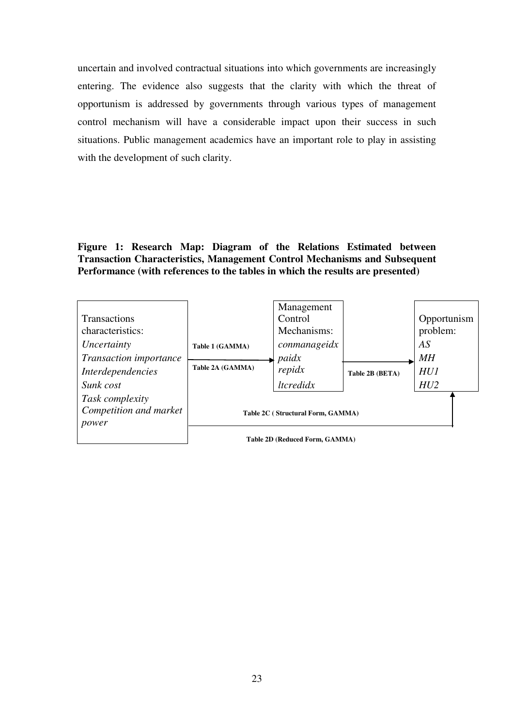uncertain and involved contractual situations into which governments are increasingly entering. The evidence also suggests that the clarity with which the threat of opportunism is addressed by governments through various types of management control mechanism will have a considerable impact upon their success in such situations. Public management academics have an important role to play in assisting with the development of such clarity.

#### **Figure 1: Research Map: Diagram of the Relations Estimated between Transaction Characteristics, Management Control Mechanisms and Subsequent Performance (with references to the tables in which the results are presented)**

| <b>Transactions</b><br>characteristics:<br>Uncertainty<br>Transaction importance<br>Interdependencies<br>Sunk cost | Table 1 (GAMMA)<br>Table 2A (GAMMA) | Management<br>Control<br>Mechanisms:<br>conmanageidx<br>paidx<br>repidx<br>ltcredidx | Table 2B (BETA) | Opportunism<br>problem:<br>AS<br>MН<br><b>HU1</b><br>HU2 |
|--------------------------------------------------------------------------------------------------------------------|-------------------------------------|--------------------------------------------------------------------------------------|-----------------|----------------------------------------------------------|
| Task complexity<br>Competition and market<br>power                                                                 |                                     | Table 2C (Structural Form, GAMMA)<br>Table 2D (Reduced Form, GAMMA)                  |                 |                                                          |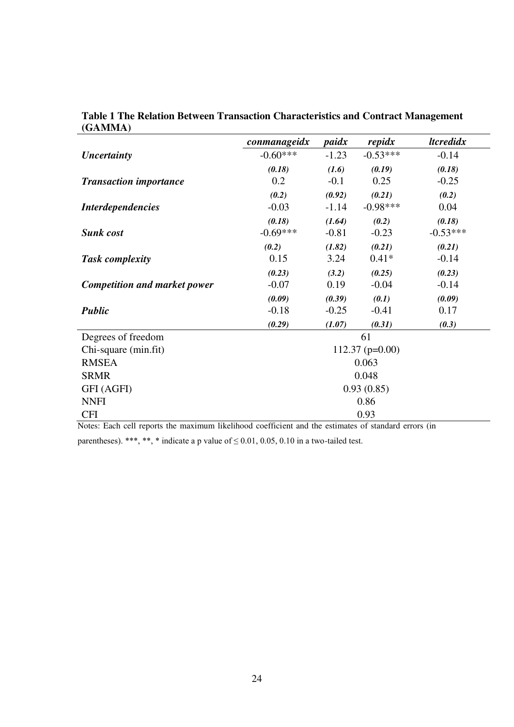|                                     | conmanageidx | paidx   | repidx            | <i><u><b>ltcredidx</b></u></i> |  |  |  |
|-------------------------------------|--------------|---------|-------------------|--------------------------------|--|--|--|
| Uncertainty                         | $-0.60***$   | $-1.23$ | $-0.53***$        | $-0.14$                        |  |  |  |
|                                     | (0.18)       | (1.6)   | (0.19)            | (0.18)                         |  |  |  |
| <b>Transaction importance</b>       | 0.2          | $-0.1$  | 0.25              | $-0.25$                        |  |  |  |
|                                     | (0.2)        | (0.92)  | (0.21)            | (0.2)                          |  |  |  |
| <i>Interdependencies</i>            | $-0.03$      | $-1.14$ | $-0.98***$        | 0.04                           |  |  |  |
|                                     | (0.18)       | (1.64)  | (0.2)             | (0.18)                         |  |  |  |
| <b>Sunk cost</b>                    | $-0.69***$   | $-0.81$ | $-0.23$           | $-0.53***$                     |  |  |  |
|                                     | (0.2)        | (1.82)  | (0.21)            | (0.21)                         |  |  |  |
| <b>Task complexity</b>              | 0.15         | 3.24    | $0.41*$           | $-0.14$                        |  |  |  |
|                                     | (0.23)       | (3.2)   | (0.25)            | (0.23)                         |  |  |  |
| <b>Competition and market power</b> | $-0.07$      | 0.19    | $-0.04$           | $-0.14$                        |  |  |  |
|                                     | (0.09)       | (0.39)  | (0.1)             | (0.09)                         |  |  |  |
| <b>Public</b>                       | $-0.18$      | $-0.25$ | $-0.41$           | 0.17                           |  |  |  |
|                                     | (0.29)       | (1.07)  | (0.31)            | (0.3)                          |  |  |  |
| Degrees of freedom                  |              |         | 61                |                                |  |  |  |
| Chi-square (min.fit)                |              |         | $112.37$ (p=0.00) |                                |  |  |  |
| <b>RMSEA</b>                        |              |         | 0.063             |                                |  |  |  |
| <b>SRMR</b>                         | 0.048        |         |                   |                                |  |  |  |
| GFI (AGFI)                          |              |         | 0.93(0.85)        |                                |  |  |  |
| <b>NNFI</b>                         |              |         | 0.86              |                                |  |  |  |
| <b>CFI</b>                          |              |         | 0.93              |                                |  |  |  |

**Table 1 The Relation Between Transaction Characteristics and Contract Management (GAMMA)** 

Notes: Each cell reports the maximum likelihood coefficient and the estimates of standard errors (in

parentheses). \*\*\*, \*\*, \* indicate a p value of  $\leq 0.01$ , 0.05, 0.10 in a two-tailed test.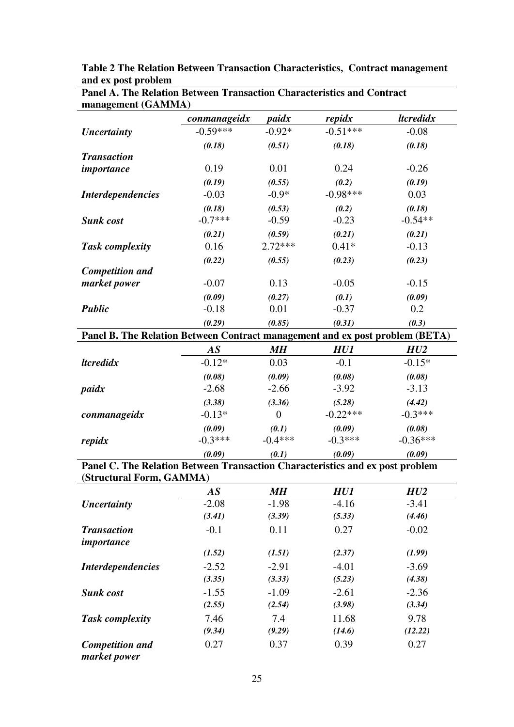| management (GAMMA)                                                            |                 |                  |            |                                |
|-------------------------------------------------------------------------------|-----------------|------------------|------------|--------------------------------|
|                                                                               | conmanageidx    | paidx            | repidx     | <i><u><b>Itcredidx</b></u></i> |
| <b>Uncertainty</b>                                                            | $-0.59***$      | $-0.92*$         | $-0.51***$ | $-0.08$                        |
|                                                                               | (0.18)          | (0.51)           | (0.18)     | (0.18)                         |
| <b>Transaction</b>                                                            |                 |                  |            |                                |
| importance                                                                    | 0.19            | 0.01             | 0.24       | $-0.26$                        |
|                                                                               | (0.19)          | (0.55)           | (0.2)      | (0.19)                         |
| <b>Interdependencies</b>                                                      | $-0.03$         | $-0.9*$          | $-0.98***$ | 0.03                           |
|                                                                               | (0.18)          | (0.53)           | (0.2)      | (0.18)                         |
| <b>Sunk cost</b>                                                              | $-0.7***$       | $-0.59$          | $-0.23$    | $-0.54**$                      |
|                                                                               | (0.21)          | (0.59)           | (0.21)     | (0.21)                         |
| <b>Task complexity</b>                                                        | 0.16            | $2.72***$        | $0.41*$    | $-0.13$                        |
|                                                                               | (0.22)          | (0.55)           | (0.23)     | (0.23)                         |
| <b>Competition and</b>                                                        |                 |                  |            |                                |
| market power                                                                  | $-0.07$         | 0.13             | $-0.05$    | $-0.15$                        |
|                                                                               | (0.09)          | (0.27)           | (0.1)      | (0.09)                         |
| <b>Public</b>                                                                 | $-0.18$         | 0.01             | $-0.37$    | 0.2                            |
|                                                                               | (0.29)          | (0.85)           | (0.31)     | (0.3)                          |
| Panel B. The Relation Between Contract management and ex post problem (BETA)  |                 |                  |            |                                |
|                                                                               | $\overline{AS}$ | M <sub>H</sub>   | HU1        | HU2                            |
| <i><u><b>ltcredidx</b></u></i>                                                | $-0.12*$        | 0.03             | $-0.1$     | $-0.15*$                       |
|                                                                               | (0.08)          | (0.09)           | (0.08)     | (0.08)                         |
| paidx                                                                         | $-2.68$         | $-2.66$          | $-3.92$    | $-3.13$                        |
|                                                                               | (3.38)          | (3.36)           | (5.28)     | (4.42)                         |
| conmanageidx                                                                  | $-0.13*$        | $\boldsymbol{0}$ | $-0.22***$ | $-0.3***$                      |
|                                                                               | (0.09)          | (0.1)            | (0.09)     | (0.08)                         |
| repidx                                                                        | $-0.3***$       | $-0.4***$        | $-0.3***$  | $-0.36***$                     |
|                                                                               | (0.09)          | (0.1)            | (0.09)     | (0.09)                         |
| Panel C. The Relation Between Transaction Characteristics and ex post problem |                 |                  |            |                                |
| (Structural Form, GAMMA)                                                      |                 |                  |            |                                |

**Table 2 The Relation Between Transaction Characteristics, Contract management and ex post problem** 

| Tush complexity                                                               |                 |                   |            |            |
|-------------------------------------------------------------------------------|-----------------|-------------------|------------|------------|
|                                                                               | (0.22)          | (0.55)            | (0.23)     | (0.23)     |
| <b>Competition and</b>                                                        |                 |                   |            |            |
| market power                                                                  | $-0.07$         | 0.13              | $-0.05$    | $-0.15$    |
|                                                                               | (0.09)          | (0.27)            | (0.1)      | (0.09)     |
| <b>Public</b>                                                                 | $-0.18$         | 0.01              | $-0.37$    | 0.2        |
|                                                                               | (0.29)          | (0.85)            | (0.31)     | (0.3)      |
| Panel B. The Relation Between Contract management and ex post problem (BETA)  |                 |                   |            |            |
|                                                                               | AS              | M H               | HUI        | HU2        |
| <i><u><b>Itcredidx</b></u></i>                                                | $-0.12*$        | 0.03              | $-0.1$     | $-0.15*$   |
|                                                                               | (0.08)          | (0.09)            | (0.08)     | (0.08)     |
| paidx                                                                         | $-2.68$         | $-2.66$           | $-3.92$    | $-3.13$    |
|                                                                               | (3.38)          | (3.36)            | (5.28)     | (4.42)     |
| conmanageidx                                                                  | $-0.13*$        | $\overline{0}$    | $-0.22***$ | $-0.3***$  |
|                                                                               | (0.09)          | (0.1)             | (0.09)     | (0.08)     |
| repidx                                                                        | $-0.3***$       | $-0.4***$         | $-0.3***$  | $-0.36***$ |
|                                                                               | (0.09)          | (0.1)             | (0.09)     | (0.09)     |
| Panel C. The Relation Between Transaction Characteristics and ex post problem |                 |                   |            |            |
| (Structural Form, GAMMA)                                                      |                 |                   |            |            |
|                                                                               | $\overline{AS}$ | $\boldsymbol{MH}$ | HUI        | HU2        |
| <b>Uncertainty</b>                                                            | $-2.08$         | $-1.98$           | $-4.16$    | $-3.41$    |
|                                                                               | (3.41)          | (3.39)            | (5.33)     | (4.46)     |
| <b>Transaction</b>                                                            | $-0.1$          | 0.11              | 0.27       | $-0.02$    |
| importance                                                                    |                 |                   |            |            |
|                                                                               | (1.52)          | (1.51)            | (2.37)     | (1.99)     |
| <b>Interdependencies</b>                                                      | $-2.52$         | $-2.91$           | $-4.01$    | $-3.69$    |
|                                                                               | (3.35)          | (3.33)            | (5.23)     | (4.38)     |
| <b>Sunk cost</b>                                                              | $-1.55$         | $-1.09$           | $-2.61$    | $-2.36$    |
|                                                                               | (2.55)          | (2.54)            | (3.98)     | (3.34)     |
| <b>Task complexity</b>                                                        | 7.46            | 7.4               | 11.68      | 9.78       |
|                                                                               | (9.34)          | (9.29)            | (14.6)     | (12.22)    |
| <b>Competition and</b>                                                        | 0.27            | 0.37              | 0.39       | 0.27       |

**Panel A. The Relation Between Transaction Characteristics and Contract** 

*market power*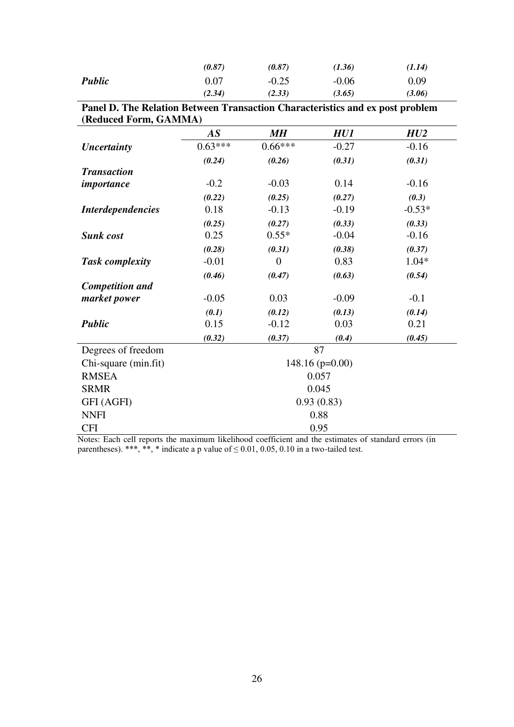|               | (0.87)   | (0.87)  | (1.36)  | (1.14) |
|---------------|----------|---------|---------|--------|
| <b>Public</b> | $0.07\,$ | $-0.25$ | $-0.06$ | 0.09   |
|               | (2.34)   | (2.33)  | (3.65)  | (3.06) |

|                       | Panel D. The Relation Between Transaction Characteristics and ex post problem |
|-----------------------|-------------------------------------------------------------------------------|
| (Reduced Form, GAMMA) |                                                                               |

|                          | $\overline{AS}$ | MН        | HU1               | HU2      |  |  |  |
|--------------------------|-----------------|-----------|-------------------|----------|--|--|--|
| Uncertainty              | $0.63***$       | $0.66***$ | $-0.27$           | $-0.16$  |  |  |  |
|                          | (0.24)          | (0.26)    | (0.31)            | (0.31)   |  |  |  |
| <b>Transaction</b>       |                 |           |                   |          |  |  |  |
| importance               | $-0.2$          | $-0.03$   | 0.14              | $-0.16$  |  |  |  |
|                          | (0.22)          | (0.25)    | (0.27)            | (0.3)    |  |  |  |
| <b>Interdependencies</b> | 0.18            | $-0.13$   | $-0.19$           | $-0.53*$ |  |  |  |
|                          | (0.25)          | (0.27)    | (0.33)            | (0.33)   |  |  |  |
| <b>Sunk cost</b>         | 0.25            | $0.55*$   | $-0.04$           | $-0.16$  |  |  |  |
|                          | (0.28)          | (0.31)    | (0.38)            | (0.37)   |  |  |  |
| <b>Task complexity</b>   | $-0.01$         | 0         | 0.83              | $1.04*$  |  |  |  |
|                          | (0.46)          | (0.47)    | (0.63)            | (0.54)   |  |  |  |
| <b>Competition and</b>   |                 |           |                   |          |  |  |  |
| market power             | $-0.05$         | 0.03      | $-0.09$           | $-0.1$   |  |  |  |
|                          | (0.1)           | (0.12)    | (0.13)            | (0.14)   |  |  |  |
| <b>Public</b>            | 0.15            | $-0.12$   | 0.03              | 0.21     |  |  |  |
|                          | (0.32)          | (0.37)    | (0.4)             | (0.45)   |  |  |  |
| Degrees of freedom       |                 |           | 87                |          |  |  |  |
| Chi-square (min.fit)     |                 |           | $148.16$ (p=0.00) |          |  |  |  |
| <b>RMSEA</b>             |                 |           | 0.057             |          |  |  |  |
| <b>SRMR</b>              | 0.045           |           |                   |          |  |  |  |
| GFI (AGFI)               |                 |           | 0.93(0.83)        |          |  |  |  |
| <b>NNFI</b>              |                 |           | 0.88              |          |  |  |  |
| <b>CFI</b>               |                 |           | 0.95              |          |  |  |  |

Notes: Each cell reports the maximum likelihood coefficient and the estimates of standard errors (in parentheses). \*\*\*, \*\*, \* indicate a p value of  $\leq$  0.01, 0.05, 0.10 in a two-tailed test.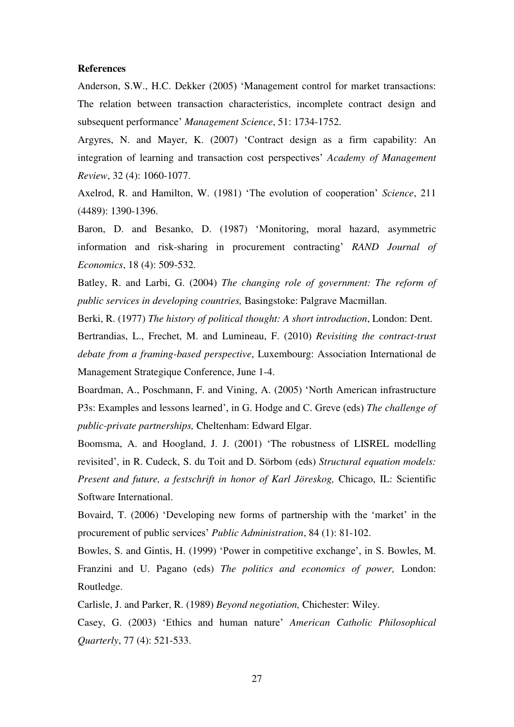#### **References**

Anderson, S.W., H.C. Dekker (2005) 'Management control for market transactions: The relation between transaction characteristics, incomplete contract design and subsequent performance' *Management Science*, 51: 1734-1752.

Argyres, N. and Mayer, K. (2007) 'Contract design as a firm capability: An integration of learning and transaction cost perspectives' *Academy of Management Review*, 32 (4): 1060-1077.

Axelrod, R. and Hamilton, W. (1981) 'The evolution of cooperation' *Science*, 211 (4489): 1390-1396.

Baron, D. and Besanko, D. (1987) 'Monitoring, moral hazard, asymmetric information and risk-sharing in procurement contracting' *RAND Journal of Economics*, 18 (4): 509-532.

Batley, R. and Larbi, G. (2004) *The changing role of government: The reform of public services in developing countries,* Basingstoke: Palgrave Macmillan.

Berki, R. (1977) *The history of political thought: A short introduction*, London: Dent.

Bertrandias, L., Frechet, M. and Lumineau, F. (2010) *Revisiting the contract-trust debate from a framing-based perspective*, Luxembourg: Association International de Management Strategique Conference, June 1-4.

Boardman, A., Poschmann, F. and Vining, A. (2005) 'North American infrastructure P3s: Examples and lessons learned', in G. Hodge and C. Greve (eds) *The challenge of public-private partnerships,* Cheltenham: Edward Elgar.

Boomsma, A. and Hoogland, J. J. (2001) 'The robustness of LISREL modelling revisited', in R. Cudeck, S. du Toit and D. Sörbom (eds) *Structural equation models: Present and future, a festschrift in honor of Karl Jöreskog,* Chicago, IL: Scientific Software International.

Bovaird, T. (2006) 'Developing new forms of partnership with the 'market' in the procurement of public services' *Public Administration*, 84 (1): 81-102.

Bowles, S. and Gintis, H. (1999) 'Power in competitive exchange', in S. Bowles, M. Franzini and U. Pagano (eds) *The politics and economics of power,* London: Routledge.

Carlisle, J. and Parker, R. (1989) *Beyond negotiation,* Chichester: Wiley.

Casey, G. (2003) 'Ethics and human nature' *American Catholic Philosophical Quarterly*, 77 (4): 521-533.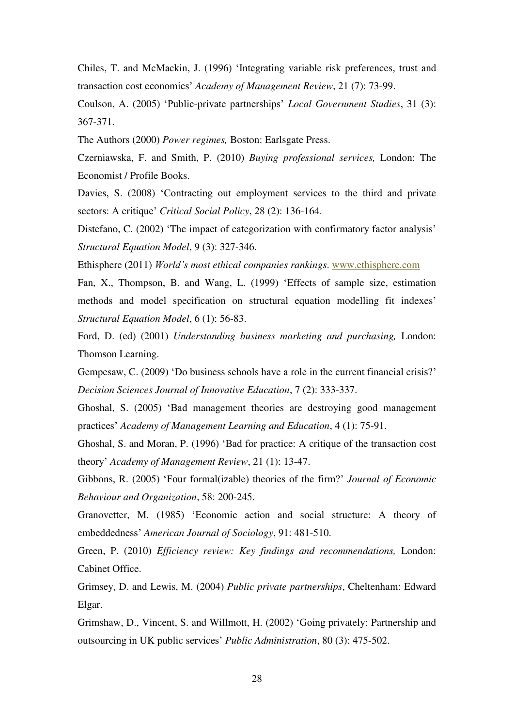Chiles, T. and McMackin, J. (1996) 'Integrating variable risk preferences, trust and transaction cost economics' *Academy of Management Review*, 21 (7): 73-99.

Coulson, A. (2005) 'Public-private partnerships' *Local Government Studies*, 31 (3): 367-371.

The Authors (2000) *Power regimes,* Boston: Earlsgate Press.

Czerniawska, F. and Smith, P. (2010) *Buying professional services,* London: The Economist / Profile Books.

Davies, S. (2008) 'Contracting out employment services to the third and private sectors: A critique' *Critical Social Policy*, 28 (2): 136-164.

Distefano, C. (2002) 'The impact of categorization with confirmatory factor analysis' *Structural Equation Model*, 9 (3): 327-346.

Ethisphere (2011) *World's most ethical companies rankings*. [www.ethisphere.com](http://www.ethisphere.com/) 

Fan, X., Thompson, B. and Wang, L. (1999) 'Effects of sample size, estimation methods and model specification on structural equation modelling fit indexes' *Structural Equation Model*, 6 (1): 56-83.

Ford, D. (ed) (2001) *Understanding business marketing and purchasing,* London: Thomson Learning.

Gempesaw, C. (2009) 'Do business schools have a role in the current financial crisis?' *Decision Sciences Journal of Innovative Education*, 7 (2): 333-337.

Ghoshal, S. (2005) 'Bad management theories are destroying good management practices' *Academy of Management Learning and Education*, 4 (1): 75-91.

Ghoshal, S. and Moran, P. (1996) 'Bad for practice: A critique of the transaction cost theory' *Academy of Management Review*, 21 (1): 13-47.

Gibbons, R. (2005) 'Four formal(izable) theories of the firm?' *Journal of Economic Behaviour and Organization*, 58: 200-245.

Granovetter, M. (1985) 'Economic action and social structure: A theory of embeddedness' *American Journal of Sociology*, 91: 481-510.

Green, P. (2010) *Efficiency review: Key findings and recommendations,* London: Cabinet Office.

Grimsey, D. and Lewis, M. (2004) *Public private partnerships*, Cheltenham: Edward Elgar.

Grimshaw, D., Vincent, S. and Willmott, H. (2002) 'Going privately: Partnership and outsourcing in UK public services' *Public Administration*, 80 (3): 475-502.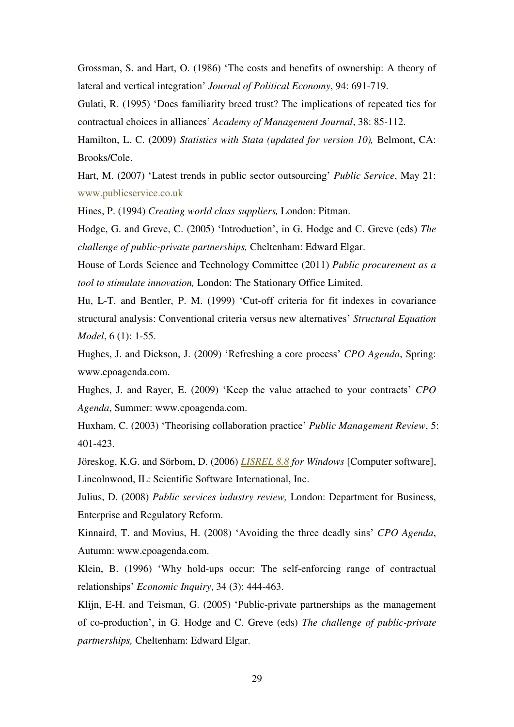Grossman, S. and Hart, O. (1986) 'The costs and benefits of ownership: A theory of lateral and vertical integration' *Journal of Political Economy*, 94: 691-719.

Gulati, R. (1995) 'Does familiarity breed trust? The implications of repeated ties for contractual choices in alliances' *Academy of Management Journal*, 38: 85-112.

Hamilton, L. C. (2009) *Statistics with Stata (updated for version 10)*, Belmont, CA: Brooks/Cole.

Hart, M. (2007) 'Latest trends in public sector outsourcing' *Public Service*, May 21: [www.publicservice.co.uk](http://www.publicservice.co.uk/) 

Hines, P. (1994) *Creating world class suppliers,* London: Pitman.

Hodge, G. and Greve, C. (2005) 'Introduction', in G. Hodge and C. Greve (eds) *The challenge of public-private partnerships,* Cheltenham: Edward Elgar.

House of Lords Science and Technology Committee (2011) *Public procurement as a tool to stimulate innovation,* London: The Stationary Office Limited.

Hu, L-T. and Bentler, P. M. (1999) 'Cut-off criteria for fit indexes in covariance structural analysis: Conventional criteria versus new alternatives' *Structural Equation Model*, 6 (1): 1-55.

Hughes, J. and Dickson, J. (2009) 'Refreshing a core process' *CPO Agenda*, Spring: www.cpoagenda.com.

Hughes, J. and Rayer, E. (2009) 'Keep the value attached to your contracts' *CPO Agenda*, Summer: www.cpoagenda.com.

Huxham, C. (2003) 'Theorising collaboration practice' *Public Management Review*, 5: 401-423.

Jöreskog, K.G. and Sörbom, D. (2006) *[LISREL 8.8](http://ie.surfcanyon.com/search?f=sl&q=LISREL%208.8&partner=wtiieeui) for Windows* [Computer software], Lincolnwood, IL: Scientific Software International, Inc.

Julius, D. (2008) *Public services industry review,* London: Department for Business, Enterprise and Regulatory Reform.

Kinnaird, T. and Movius, H. (2008) 'Avoiding the three deadly sins' *CPO Agenda*, Autumn: www.cpoagenda.com.

Klein, B. (1996) 'Why hold-ups occur: The self-enforcing range of contractual relationships' *Economic Inquiry*, 34 (3): 444-463.

Klijn, E-H. and Teisman, G. (2005) 'Public-private partnerships as the management of co-production', in G. Hodge and C. Greve (eds) *The challenge of public-private partnerships,* Cheltenham: Edward Elgar.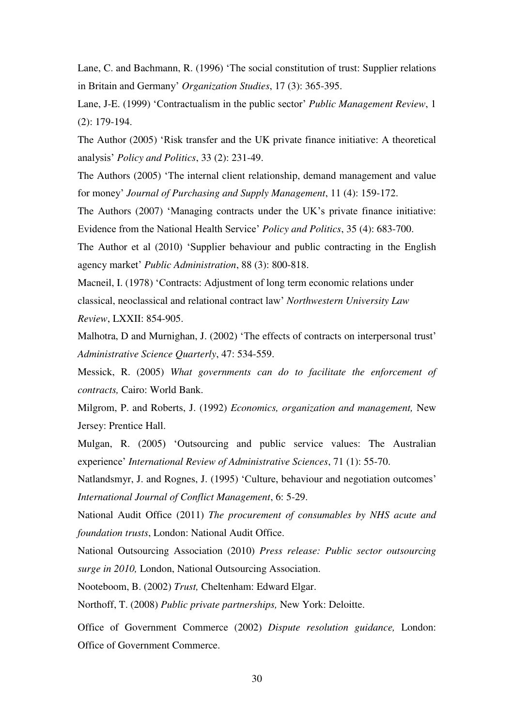Lane, C. and Bachmann, R. (1996) 'The social constitution of trust: Supplier relations in Britain and Germany' *Organization Studies*, 17 (3): 365-395.

Lane, J-E. (1999) 'Contractualism in the public sector' *Public Management Review*, 1 (2): 179-194.

The Author (2005) 'Risk transfer and the UK private finance initiative: A theoretical analysis' *Policy and Politics*, 33 (2): 231-49.

The Authors (2005) 'The internal client relationship, demand management and value for money' *Journal of Purchasing and Supply Management*, 11 (4): 159-172.

The Authors (2007) 'Managing contracts under the UK's private finance initiative: Evidence from the National Health Service' *Policy and Politics*, 35 (4): 683-700.

The Author et al (2010) 'Supplier behaviour and public contracting in the English agency market' *Public Administration*, 88 (3): 800-818.

Macneil, I. (1978) 'Contracts: Adjustment of long term economic relations under classical, neoclassical and relational contract law' *Northwestern University Law Review*, LXXII: 854-905.

Malhotra, D and Murnighan, J. (2002) 'The effects of contracts on interpersonal trust' *Administrative Science Quarterly*, 47: 534-559.

Messick, R. (2005) *What governments can do to facilitate the enforcement of contracts,* Cairo: World Bank.

Milgrom, P. and Roberts, J. (1992) *Economics, organization and management,* New Jersey: Prentice Hall.

Mulgan, R. (2005) 'Outsourcing and public service values: The Australian experience' *International Review of Administrative Sciences*, 71 (1): 55-70.

Natlandsmyr, J. and Rognes, J. (1995) 'Culture, behaviour and negotiation outcomes' *International Journal of Conflict Management*, 6: 5-29.

National Audit Office (2011) *The procurement of consumables by NHS acute and foundation trusts*, London: National Audit Office.

National Outsourcing Association (2010) *Press release: Public sector outsourcing surge in 2010,* London, National Outsourcing Association.

Nooteboom, B. (2002) *Trust,* Cheltenham: Edward Elgar.

Northoff, T. (2008) *Public private partnerships,* New York: Deloitte.

Office of Government Commerce (2002) *Dispute resolution guidance,* London: Office of Government Commerce.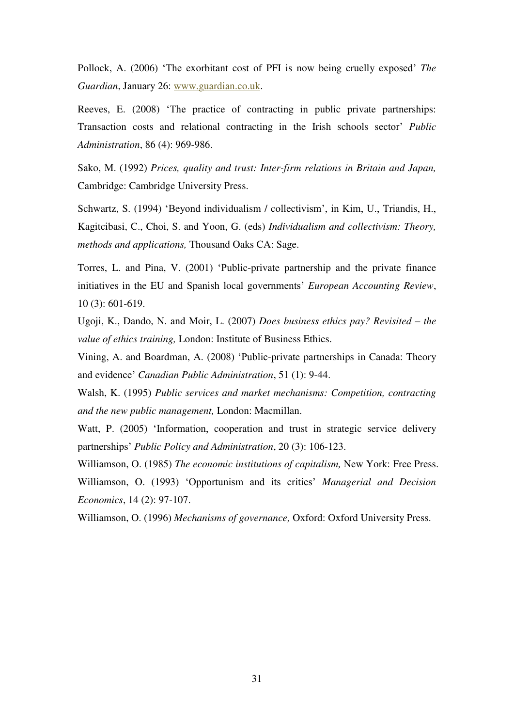Pollock, A. (2006) 'The exorbitant cost of PFI is now being cruelly exposed' *The Guardian*, January 26: [www.guardian.co.uk.](http://www.guardian.co.uk/)

Reeves, E. (2008) 'The practice of contracting in public private partnerships: Transaction costs and relational contracting in the Irish schools sector' *Public Administration*, 86 (4): 969-986.

Sako, M. (1992) *Prices, quality and trust: Inter-firm relations in Britain and Japan,*  Cambridge: Cambridge University Press.

Schwartz, S. (1994) 'Beyond individualism / collectivism', in Kim, U., Triandis, H., Kagitcibasi, C., Choi, S. and Yoon, G. (eds) *Individualism and collectivism: Theory, methods and applications,* Thousand Oaks CA: Sage.

Torres, L. and Pina, V. (2001) 'Public-private partnership and the private finance initiatives in the EU and Spanish local governments' *European Accounting Review*, 10 (3): 601-619.

Ugoji, K., Dando, N. and Moir, L. (2007) *Does business ethics pay? Revisited – the value of ethics training,* London: Institute of Business Ethics.

Vining, A. and Boardman, A. (2008) 'Public-private partnerships in Canada: Theory and evidence' *Canadian Public Administration*, 51 (1): 9-44.

Walsh, K. (1995) *Public services and market mechanisms: Competition, contracting and the new public management,* London: Macmillan.

Watt, P. (2005) 'Information, cooperation and trust in strategic service delivery partnerships' *Public Policy and Administration*, 20 (3): 106-123.

Williamson, O. (1985) *The economic institutions of capitalism,* New York: Free Press. Williamson, O. (1993) 'Opportunism and its critics' *Managerial and Decision Economics*, 14 (2): 97-107.

Williamson, O. (1996) *Mechanisms of governance,* Oxford: Oxford University Press.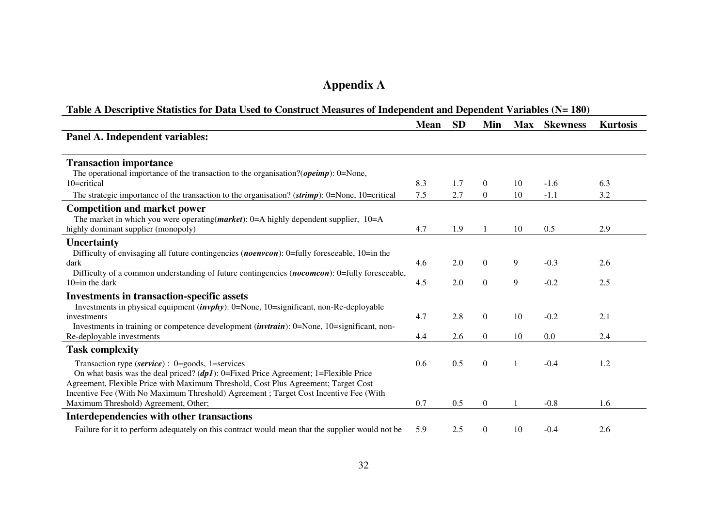# **Appendix A**

### **Table A Descriptive Statistics for Data Used to Construct Measures of Independent and Dependent Variables (N= 180)**

|                                                                                                                                                                             | <b>Mean</b> | <b>SD</b> | Min              | <b>Max</b> | <b>Skewness</b> | <b>Kurtosis</b> |
|-----------------------------------------------------------------------------------------------------------------------------------------------------------------------------|-------------|-----------|------------------|------------|-----------------|-----------------|
| Panel A. Independent variables:                                                                                                                                             |             |           |                  |            |                 |                 |
| <b>Transaction importance</b>                                                                                                                                               |             |           |                  |            |                 |                 |
| The operational importance of the transaction to the organisation?( <i>opeimp</i> ): $0 =$ None,                                                                            |             |           |                  |            |                 |                 |
| 10=critical                                                                                                                                                                 | 8.3         | 1.7       | $\Omega$         | 10         | $-1.6$          | 6.3             |
| The strategic importance of the transaction to the organisation? (strimp): 0=None, 10=critical                                                                              | 7.5         | 2.7       | $\overline{0}$   | 10         | $-1.1$          | 3.2             |
| <b>Competition and market power</b>                                                                                                                                         |             |           |                  |            |                 |                 |
| The market in which you were operating ( <i>market</i> ): 0=A highly dependent supplier, $10=$ A                                                                            |             |           |                  |            |                 |                 |
| highly dominant supplier (monopoly)                                                                                                                                         | 4.7         | 1.9       |                  | 10         | 0.5             | 2.9             |
| Uncertainty                                                                                                                                                                 |             |           |                  |            |                 |                 |
| Difficulty of envisaging all future contingencies ( <i>noenvcon</i> ): 0=fully foreseeable, 10=in the                                                                       |             |           |                  |            |                 |                 |
| dark                                                                                                                                                                        | 4.6         | 2.0       | $\boldsymbol{0}$ | 9          | $-0.3$          | 2.6             |
| Difficulty of a common understanding of future contingencies (nocomcon): 0=fully foreseeable,                                                                               |             |           |                  |            |                 |                 |
| $10$ =in the dark                                                                                                                                                           | 4.5         | 2.0       | $\overline{0}$   | 9          | $-0.2$          | 2.5             |
| <b>Investments in transaction-specific assets</b>                                                                                                                           |             |           |                  |            |                 |                 |
| Investments in physical equipment $(in vph y)$ : 0=None, 10=significant, non-Re-deployable                                                                                  |             |           |                  |            |                 |                 |
| investments                                                                                                                                                                 | 4.7         | 2.8       | $\overline{0}$   | 10         | $-0.2$          | 2.1             |
| Investments in training or competence development $(i\nu v train)$ : 0=None, 10=significant, non-<br>Re-deployable investments                                              | 4.4         | 2.6       | $\Omega$         | 10         | 0.0             | 2.4             |
|                                                                                                                                                                             |             |           |                  |            |                 |                 |
| <b>Task complexity</b>                                                                                                                                                      |             |           |                  |            |                 |                 |
| Transaction type (service) : $0 = \text{goods}, 1 = \text{services}$                                                                                                        | 0.6         | 0.5       | $\Omega$         | 1          | $-0.4$          | 1.2             |
| On what basis was the deal priced? $(dp1)$ : 0=Fixed Price Agreement; 1=Flexible Price                                                                                      |             |           |                  |            |                 |                 |
| Agreement, Flexible Price with Maximum Threshold, Cost Plus Agreement; Target Cost<br>Incentive Fee (With No Maximum Threshold) Agreement ; Target Cost Incentive Fee (With |             |           |                  |            |                 |                 |
| Maximum Threshold) Agreement, Other;                                                                                                                                        | 0.7         | 0.5       | $\boldsymbol{0}$ |            | $-0.8$          | 1.6             |
| Interdependencies with other transactions                                                                                                                                   |             |           |                  |            |                 |                 |
|                                                                                                                                                                             |             |           |                  |            |                 |                 |
| Failure for it to perform adequately on this contract would mean that the supplier would not be                                                                             | 5.9         | 2.5       | $\boldsymbol{0}$ | 10         | $-0.4$          | 2.6             |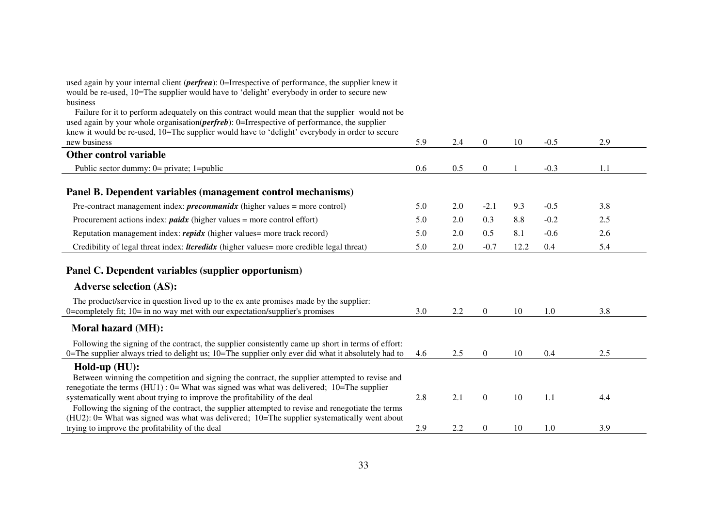| used again by your internal client ( <i>perfrea</i> ): 0=Irrespective of performance, the supplier knew it<br>would be re-used, 10=The supplier would have to 'delight' everybody in order to secure new<br>business                                                                                      |     |     |                  |      |        |     |  |
|-----------------------------------------------------------------------------------------------------------------------------------------------------------------------------------------------------------------------------------------------------------------------------------------------------------|-----|-----|------------------|------|--------|-----|--|
| Failure for it to perform adequately on this contract would mean that the supplier would not be<br>used again by your whole organisation( <i>perfreb</i> ): 0=Irrespective of performance, the supplier<br>knew it would be re-used, 10=The supplier would have to 'delight' everybody in order to secure |     |     |                  |      |        |     |  |
| new business                                                                                                                                                                                                                                                                                              | 5.9 | 2.4 | $\boldsymbol{0}$ | 10   | $-0.5$ | 2.9 |  |
| Other control variable                                                                                                                                                                                                                                                                                    |     |     |                  |      |        |     |  |
| Public sector dummy: $0 =$ private; 1=public                                                                                                                                                                                                                                                              | 0.6 | 0.5 | $\boldsymbol{0}$ | 1    | $-0.3$ | 1.1 |  |
| Panel B. Dependent variables (management control mechanisms)                                                                                                                                                                                                                                              |     |     |                  |      |        |     |  |
| Pre-contract management index: <i>preconmanidx</i> (higher values = more control)                                                                                                                                                                                                                         | 5.0 | 2.0 | $-2.1$           | 9.3  | $-0.5$ | 3.8 |  |
| Procurement actions index: $p$ aidx (higher values = more control effort)                                                                                                                                                                                                                                 | 5.0 | 2.0 | 0.3              | 8.8  | $-0.2$ | 2.5 |  |
| Reputation management index: repidx (higher values = more track record)                                                                                                                                                                                                                                   | 5.0 | 2.0 | 0.5              | 8.1  | $-0.6$ | 2.6 |  |
| Credibility of legal threat index: <i>ltcredidx</i> (higher values = more credible legal threat)                                                                                                                                                                                                          | 5.0 | 2.0 | $-0.7$           | 12.2 | 0.4    | 5.4 |  |
| Panel C. Dependent variables (supplier opportunism)                                                                                                                                                                                                                                                       |     |     |                  |      |        |     |  |
| <b>Adverse selection (AS):</b>                                                                                                                                                                                                                                                                            |     |     |                  |      |        |     |  |
| The product/service in question lived up to the ex ante promises made by the supplier:<br>0=completely fit; $10$ = in no way met with our expectation/supplier's promises                                                                                                                                 | 3.0 | 2.2 | $\overline{0}$   | 10   | 1.0    | 3.8 |  |
| Moral hazard (MH):                                                                                                                                                                                                                                                                                        |     |     |                  |      |        |     |  |
| Following the signing of the contract, the supplier consistently came up short in terms of effort:<br>0=The supplier always tried to delight us; 10=The supplier only ever did what it absolutely had to                                                                                                  | 4.6 | 2.5 | $\overline{0}$   | 10   | 0.4    | 2.5 |  |
| Hold-up (HU):                                                                                                                                                                                                                                                                                             |     |     |                  |      |        |     |  |
| Between winning the competition and signing the contract, the supplier attempted to revise and                                                                                                                                                                                                            |     |     |                  |      |        |     |  |
| renegotiate the terms $(HU1)$ : 0= What was signed was what was delivered; 10=The supplier<br>systematically went about trying to improve the profitability of the deal                                                                                                                                   | 2.8 | 2.1 | $\boldsymbol{0}$ | 10   | 1.1    | 4.4 |  |
| Following the signing of the contract, the supplier attempted to revise and renegotiate the terms                                                                                                                                                                                                         |     |     |                  |      |        |     |  |
| (HU2): 0= What was signed was what was delivered; 10=The supplier systematically went about                                                                                                                                                                                                               |     |     |                  |      |        |     |  |
| trying to improve the profitability of the deal                                                                                                                                                                                                                                                           | 2.9 | 2.2 | $\boldsymbol{0}$ | 10   | 1.0    | 3.9 |  |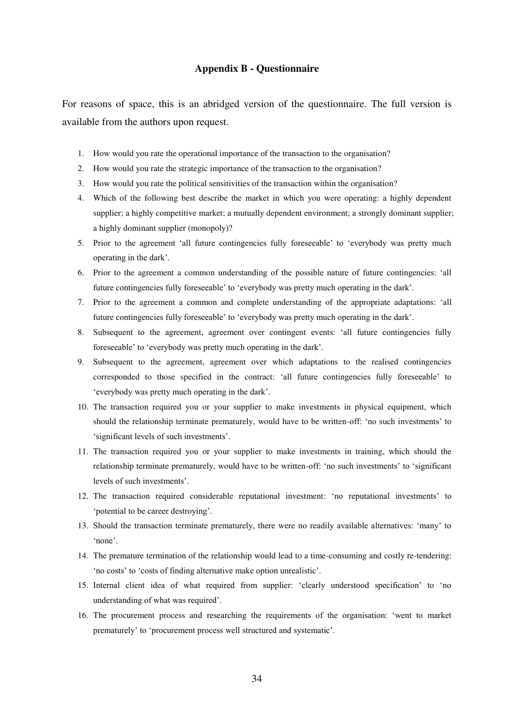#### **Appendix B - Questionnaire**

For reasons of space, this is an abridged version of the questionnaire. The full version is available from the authors upon request.

- 1. How would you rate the operational importance of the transaction to the organisation?
- 2. How would you rate the strategic importance of the transaction to the organisation?
- 3. How would you rate the political sensitivities of the transaction within the organisation?
- 4. Which of the following best describe the market in which you were operating: a highly dependent supplier; a highly competitive market; a mutually dependent environment; a strongly dominant supplier; a highly dominant supplier (monopoly)?
- 5. Prior to the agreement 'all future contingencies fully foreseeable' to 'everybody was pretty much operating in the dark'.
- 6. Prior to the agreement a common understanding of the possible nature of future contingencies: 'all future contingencies fully foreseeable' to 'everybody was pretty much operating in the dark'.
- 7. Prior to the agreement a common and complete understanding of the appropriate adaptations: 'all future contingencies fully foreseeable' to 'everybody was pretty much operating in the dark'.
- 8. Subsequent to the agreement, agreement over contingent events: 'all future contingencies fully foreseeable' to 'everybody was pretty much operating in the dark'.
- 9. Subsequent to the agreement, agreement over which adaptations to the realised contingencies corresponded to those specified in the contract: 'all future contingencies fully foreseeable' to 'everybody was pretty much operating in the dark'.
- 10. The transaction required you or your supplier to make investments in physical equipment, which should the relationship terminate prematurely, would have to be written-off: 'no such investments' to 'significant levels of such investments'.
- 11. The transaction required you or your supplier to make investments in training, which should the relationship terminate prematurely, would have to be written-off: 'no such investments' to 'significant levels of such investments'.
- 12. The transaction required considerable reputational investment: 'no reputational investments' to 'potential to be career destroying'.
- 13. Should the transaction terminate prematurely, there were no readily available alternatives: 'many' to 'none'.
- 14. The premature termination of the relationship would lead to a time-consuming and costly re-tendering: 'no costs' to 'costs of finding alternative make option unrealistic'.
- 15. Internal client idea of what required from supplier: 'clearly understood specification' to 'no understanding of what was required'.
- 16. The procurement process and researching the requirements of the organisation: 'went to market prematurely' to 'procurement process well structured and systematic'.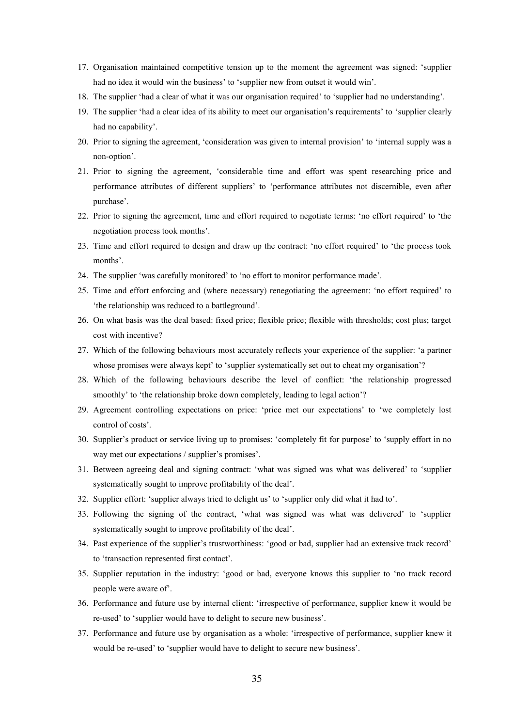- 17. Organisation maintained competitive tension up to the moment the agreement was signed: 'supplier had no idea it would win the business' to 'supplier new from outset it would win'.
- 18. The supplier 'had a clear of what it was our organisation required' to 'supplier had no understanding'.
- 19. The supplier 'had a clear idea of its ability to meet our organisation's requirements' to 'supplier clearly had no capability'.
- 20. Prior to signing the agreement, 'consideration was given to internal provision' to 'internal supply was a non-option'.
- 21. Prior to signing the agreement, 'considerable time and effort was spent researching price and performance attributes of different suppliers' to 'performance attributes not discernible, even after purchase'.
- 22. Prior to signing the agreement, time and effort required to negotiate terms: 'no effort required' to 'the negotiation process took months'.
- 23. Time and effort required to design and draw up the contract: 'no effort required' to 'the process took months'.
- 24. The supplier 'was carefully monitored' to 'no effort to monitor performance made'.
- 25. Time and effort enforcing and (where necessary) renegotiating the agreement: 'no effort required' to 'the relationship was reduced to a battleground'.
- 26. On what basis was the deal based: fixed price; flexible price; flexible with thresholds; cost plus; target cost with incentive?
- 27. Which of the following behaviours most accurately reflects your experience of the supplier: 'a partner whose promises were always kept' to 'supplier systematically set out to cheat my organisation'?
- 28. Which of the following behaviours describe the level of conflict: 'the relationship progressed smoothly' to 'the relationship broke down completely, leading to legal action'?
- 29. Agreement controlling expectations on price: 'price met our expectations' to 'we completely lost control of costs'.
- 30. Supplier's product or service living up to promises: 'completely fit for purpose' to 'supply effort in no way met our expectations / supplier's promises'.
- 31. Between agreeing deal and signing contract: 'what was signed was what was delivered' to 'supplier systematically sought to improve profitability of the deal'.
- 32. Supplier effort: 'supplier always tried to delight us' to 'supplier only did what it had to'.
- 33. Following the signing of the contract, 'what was signed was what was delivered' to 'supplier systematically sought to improve profitability of the deal'.
- 34. Past experience of the supplier's trustworthiness: 'good or bad, supplier had an extensive track record' to 'transaction represented first contact'.
- 35. Supplier reputation in the industry: 'good or bad, everyone knows this supplier to 'no track record people were aware of'.
- 36. Performance and future use by internal client: 'irrespective of performance, supplier knew it would be re-used' to 'supplier would have to delight to secure new business'.
- 37. Performance and future use by organisation as a whole: 'irrespective of performance, supplier knew it would be re-used' to 'supplier would have to delight to secure new business'.